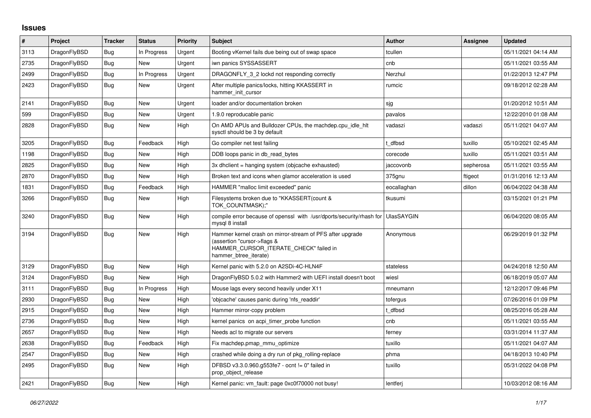## **Issues**

| $\sharp$ | Project      | <b>Tracker</b> | <b>Status</b> | Priority | <b>Subject</b>                                                                                                                                              | <b>Author</b>     | Assignee  | <b>Updated</b>      |
|----------|--------------|----------------|---------------|----------|-------------------------------------------------------------------------------------------------------------------------------------------------------------|-------------------|-----------|---------------------|
| 3113     | DragonFlyBSD | Bug            | In Progress   | Urgent   | Booting vKernel fails due being out of swap space                                                                                                           | tcullen           |           | 05/11/2021 04:14 AM |
| 2735     | DragonFlyBSD | <b>Bug</b>     | <b>New</b>    | Urgent   | iwn panics SYSSASSERT                                                                                                                                       | cnb               |           | 05/11/2021 03:55 AM |
| 2499     | DragonFlyBSD | <b>Bug</b>     | In Progress   | Urgent   | DRAGONFLY 3 2 lockd not responding correctly                                                                                                                | Nerzhul           |           | 01/22/2013 12:47 PM |
| 2423     | DragonFlyBSD | <b>Bug</b>     | New           | Urgent   | After multiple panics/locks, hitting KKASSERT in<br>hammer_init_cursor                                                                                      | rumcic            |           | 09/18/2012 02:28 AM |
| 2141     | DragonFlyBSD | <b>Bug</b>     | <b>New</b>    | Urgent   | loader and/or documentation broken                                                                                                                          | sjg               |           | 01/20/2012 10:51 AM |
| 599      | DragonFlyBSD | Bug            | New           | Urgent   | 1.9.0 reproducable panic                                                                                                                                    | pavalos           |           | 12/22/2010 01:08 AM |
| 2828     | DragonFlyBSD | Bug            | New           | High     | On AMD APUs and Bulldozer CPUs, the machdep.cpu idle hit<br>sysctl should be 3 by default                                                                   | vadaszi           | vadaszi   | 05/11/2021 04:07 AM |
| 3205     | DragonFlyBSD | <b>Bug</b>     | Feedback      | High     | Go compiler net test failing                                                                                                                                | t dfbsd           | tuxillo   | 05/10/2021 02:45 AM |
| 1198     | DragonFlyBSD | Bug            | New           | High     | DDB loops panic in db read bytes                                                                                                                            | corecode          | tuxillo   | 05/11/2021 03:51 AM |
| 2825     | DragonFlyBSD | <b>Bug</b>     | <b>New</b>    | High     | 3x dhclient = hanging system (objcache exhausted)                                                                                                           | jaccovonb         | sepherosa | 05/11/2021 03:55 AM |
| 2870     | DragonFlyBSD | Bug            | New           | High     | Broken text and icons when glamor acceleration is used                                                                                                      | 375gnu            | ftigeot   | 01/31/2016 12:13 AM |
| 1831     | DragonFlyBSD | <b>Bug</b>     | Feedback      | High     | HAMMER "malloc limit exceeded" panic                                                                                                                        | eocallaghan       | dillon    | 06/04/2022 04:38 AM |
| 3266     | DragonFlyBSD | <b>Bug</b>     | <b>New</b>    | High     | Filesystems broken due to "KKASSERT(count &<br>TOK COUNTMASK);"                                                                                             | tkusumi           |           | 03/15/2021 01:21 PM |
| 3240     | DragonFlyBSD | Bug            | <b>New</b>    | High     | compile error because of openssl with /usr/dports/security/rhash for<br>mysql 8 install                                                                     | <b>UlasSAYGIN</b> |           | 06/04/2020 08:05 AM |
| 3194     | DragonFlyBSD | Bug            | New           | High     | Hammer kernel crash on mirror-stream of PFS after upgrade<br>(assertion "cursor->flags &<br>HAMMER_CURSOR_ITERATE_CHECK" failed in<br>hammer btree iterate) | Anonymous         |           | 06/29/2019 01:32 PM |
| 3129     | DragonFlyBSD | Bug            | <b>New</b>    | High     | Kernel panic with 5.2.0 on A2SDi-4C-HLN4F                                                                                                                   | stateless         |           | 04/24/2018 12:50 AM |
| 3124     | DragonFlyBSD | Bug            | New           | High     | DragonFlyBSD 5.0.2 with Hammer2 with UEFI install doesn't boot                                                                                              | wiesl             |           | 06/18/2019 05:07 AM |
| 3111     | DragonFlyBSD | Bug            | In Progress   | High     | Mouse lags every second heavily under X11                                                                                                                   | mneumann          |           | 12/12/2017 09:46 PM |
| 2930     | DragonFlyBSD | Bug            | New           | High     | 'objcache' causes panic during 'nfs_readdir'                                                                                                                | tofergus          |           | 07/26/2016 01:09 PM |
| 2915     | DragonFlyBSD | <b>Bug</b>     | <b>New</b>    | High     | Hammer mirror-copy problem                                                                                                                                  | t dfbsd           |           | 08/25/2016 05:28 AM |
| 2736     | DragonFlyBSD | Bug            | New           | High     | kernel panics on acpi timer probe function                                                                                                                  | cnb               |           | 05/11/2021 03:55 AM |
| 2657     | DragonFlyBSD | Bug            | <b>New</b>    | High     | Needs acl to migrate our servers                                                                                                                            | ferney            |           | 03/31/2014 11:37 AM |
| 2638     | DragonFlyBSD | Bug            | Feedback      | High     | Fix machdep.pmap_mmu_optimize                                                                                                                               | tuxillo           |           | 05/11/2021 04:07 AM |
| 2547     | DragonFlyBSD | Bug            | New           | High     | crashed while doing a dry run of pkg rolling-replace                                                                                                        | phma              |           | 04/18/2013 10:40 PM |
| 2495     | DragonFlyBSD | Bug            | <b>New</b>    | High     | DFBSD v3.3.0.960.g553fe7 - ocnt != 0" failed in<br>prop object release                                                                                      | tuxillo           |           | 05/31/2022 04:08 PM |
| 2421     | DragonFlyBSD | <b>Bug</b>     | New           | High     | Kernel panic: vm_fault: page 0xc0f70000 not busy!                                                                                                           | lentferj          |           | 10/03/2012 08:16 AM |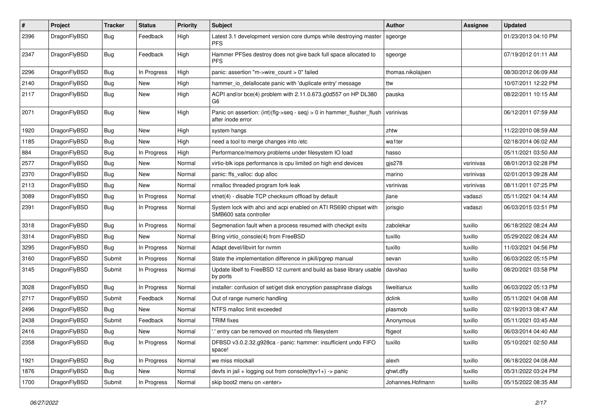| $\#$ | Project      | <b>Tracker</b> | <b>Status</b> | <b>Priority</b> | <b>Subject</b>                                                                             | <b>Author</b>     | <b>Assignee</b> | <b>Updated</b>      |
|------|--------------|----------------|---------------|-----------------|--------------------------------------------------------------------------------------------|-------------------|-----------------|---------------------|
| 2396 | DragonFlyBSD | Bug            | Feedback      | High            | Latest 3.1 development version core dumps while destroying master<br><b>PFS</b>            | sgeorge           |                 | 01/23/2013 04:10 PM |
| 2347 | DragonFlyBSD | Bug            | Feedback      | High            | Hammer PFSes destroy does not give back full space allocated to<br><b>PFS</b>              | sgeorge           |                 | 07/19/2012 01:11 AM |
| 2296 | DragonFlyBSD | Bug            | In Progress   | High            | panic: assertion "m->wire count > 0" failed                                                | thomas.nikolajsen |                 | 08/30/2012 06:09 AM |
| 2140 | DragonFlyBSD | Bug            | <b>New</b>    | High            | hammer_io_delallocate panic with 'duplicate entry' message                                 | ttw               |                 | 10/07/2011 12:22 PM |
| 2117 | DragonFlyBSD | <b>Bug</b>     | New           | High            | ACPI and/or bce(4) problem with 2.11.0.673.g0d557 on HP DL380<br>G6                        | pauska            |                 | 08/22/2011 10:15 AM |
| 2071 | DragonFlyBSD | Bug            | New           | High            | Panic on assertion: (int)(flg->seq - seq) > 0 in hammer_flusher_flush<br>after inode error | vsrinivas         |                 | 06/12/2011 07:59 AM |
| 1920 | DragonFlyBSD | <b>Bug</b>     | New           | High            | system hangs                                                                               | zhtw              |                 | 11/22/2010 08:59 AM |
| 1185 | DragonFlyBSD | Bug            | <b>New</b>    | High            | need a tool to merge changes into /etc                                                     | wa1ter            |                 | 02/18/2014 06:02 AM |
| 884  | DragonFlyBSD | Bug            | In Progress   | High            | Performance/memory problems under filesystem IO load                                       | hasso             |                 | 05/11/2021 03:50 AM |
| 2577 | DragonFlyBSD | Bug            | <b>New</b>    | Normal          | virtio-blk iops performance is cpu limited on high end devices                             | $g$ js $278$      | vsrinivas       | 08/01/2013 02:28 PM |
| 2370 | DragonFlyBSD | Bug            | New           | Normal          | panic: ffs_valloc: dup alloc                                                               | marino            | vsrinivas       | 02/01/2013 09:28 AM |
| 2113 | DragonFlyBSD | Bug            | New           | Normal          | nmalloc threaded program fork leak                                                         | vsrinivas         | vsrinivas       | 08/11/2011 07:25 PM |
| 3089 | DragonFlyBSD | <b>Bug</b>     | In Progress   | Normal          | vtnet(4) - disable TCP checksum offload by default                                         | jlane             | vadaszi         | 05/11/2021 04:14 AM |
| 2391 | DragonFlyBSD | Bug            | In Progress   | Normal          | System lock with ahci and acpi enabled on ATI RS690 chipset with<br>SMB600 sata controller | jorisgio          | vadaszi         | 06/03/2015 03:51 PM |
| 3318 | DragonFlyBSD | Bug            | In Progress   | Normal          | Segmenation fault when a process resumed with checkpt exits                                | zabolekar         | tuxillo         | 06/18/2022 08:24 AM |
| 3314 | DragonFlyBSD | <b>Bug</b>     | New           | Normal          | Bring virtio console(4) from FreeBSD                                                       | tuxillo           | tuxillo         | 05/29/2022 08:24 AM |
| 3295 | DragonFlyBSD | Bug            | In Progress   | Normal          | Adapt devel/libvirt for nvmm                                                               | tuxillo           | tuxillo         | 11/03/2021 04:56 PM |
| 3160 | DragonFlyBSD | Submit         | In Progress   | Normal          | State the implementation difference in pkill/pgrep manual                                  | sevan             | tuxillo         | 06/03/2022 05:15 PM |
| 3145 | DragonFlyBSD | Submit         | In Progress   | Normal          | Update libelf to FreeBSD 12 current and build as base library usable<br>by ports           | davshao           | tuxillo         | 08/20/2021 03:58 PM |
| 3028 | DragonFlyBSD | Bug            | In Progress   | Normal          | installer: confusion of set/get disk encryption passphrase dialogs                         | liweitianux       | tuxillo         | 06/03/2022 05:13 PM |
| 2717 | DragonFlyBSD | Submit         | Feedback      | Normal          | Out of range numeric handling                                                              | dclink            | tuxillo         | 05/11/2021 04:08 AM |
| 2496 | DragonFlyBSD | <b>Bug</b>     | New           | Normal          | NTFS malloc limit exceeded                                                                 | plasmob           | tuxillo         | 02/19/2013 08:47 AM |
| 2438 | DragonFlyBSD | Submit         | Feedback      | Normal          | <b>TRIM</b> fixes                                                                          | Anonymous         | tuxillo         | 05/11/2021 03:45 AM |
| 2416 | DragonFlyBSD | Bug            | <b>New</b>    | Normal          | ' entry can be removed on mounted nfs filesystem                                           | ftigeot           | tuxillo         | 06/03/2014 04:40 AM |
| 2358 | DragonFlyBSD | Bug            | In Progress   | Normal          | DFBSD v3.0.2.32.g928ca - panic: hammer: insufficient undo FIFO<br>space!                   | tuxillo           | tuxillo         | 05/10/2021 02:50 AM |
| 1921 | DragonFlyBSD | <b>Bug</b>     | In Progress   | Normal          | we miss mlockall                                                                           | alexh             | tuxillo         | 06/18/2022 04:08 AM |
| 1876 | DragonFlyBSD | <b>Bug</b>     | New           | Normal          | devfs in jail + logging out from console(ttyv1+) -> panic                                  | qhwt.dfly         | tuxillo         | 05/31/2022 03:24 PM |
| 1700 | DragonFlyBSD | Submit         | In Progress   | Normal          | skip boot2 menu on <enter></enter>                                                         | Johannes.Hofmann  | tuxillo         | 05/15/2022 08:35 AM |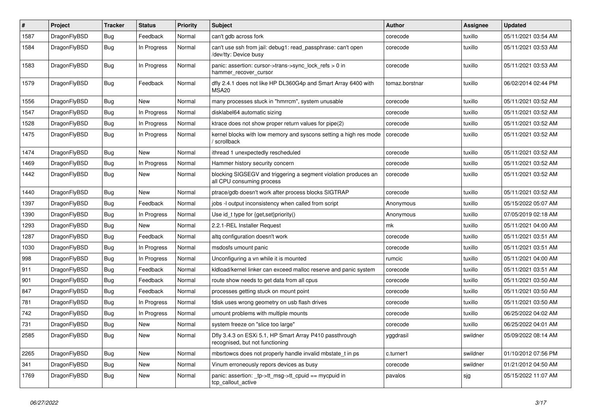| #    | Project      | <b>Tracker</b> | <b>Status</b> | <b>Priority</b> | Subject                                                                                      | <b>Author</b>  | Assignee | <b>Updated</b>      |
|------|--------------|----------------|---------------|-----------------|----------------------------------------------------------------------------------------------|----------------|----------|---------------------|
| 1587 | DragonFlyBSD | Bug            | Feedback      | Normal          | can't gdb across fork                                                                        | corecode       | tuxillo  | 05/11/2021 03:54 AM |
| 1584 | DragonFlyBSD | <b>Bug</b>     | In Progress   | Normal          | can't use ssh from jail: debug1: read passphrase: can't open<br>/dev/tty: Device busy        | corecode       | tuxillo  | 05/11/2021 03:53 AM |
| 1583 | DragonFlyBSD | Bug            | In Progress   | Normal          | panic: assertion: cursor->trans->sync_lock_refs > 0 in<br>hammer_recover_cursor              | corecode       | tuxillo  | 05/11/2021 03:53 AM |
| 1579 | DragonFlyBSD | <b>Bug</b>     | Feedback      | Normal          | dfly 2.4.1 does not like HP DL360G4p and Smart Array 6400 with<br>MSA <sub>20</sub>          | tomaz.borstnar | tuxillo  | 06/02/2014 02:44 PM |
| 1556 | DragonFlyBSD | Bug            | New           | Normal          | many processes stuck in "hmrrcm", system unusable                                            | corecode       | tuxillo  | 05/11/2021 03:52 AM |
| 1547 | DragonFlyBSD | Bug            | In Progress   | Normal          | disklabel64 automatic sizing                                                                 | corecode       | tuxillo  | 05/11/2021 03:52 AM |
| 1528 | DragonFlyBSD | Bug            | In Progress   | Normal          | ktrace does not show proper return values for pipe(2)                                        | corecode       | tuxillo  | 05/11/2021 03:52 AM |
| 1475 | DragonFlyBSD | <b>Bug</b>     | In Progress   | Normal          | kernel blocks with low memory and syscons setting a high res mode<br>/ scrollback            | corecode       | tuxillo  | 05/11/2021 03:52 AM |
| 1474 | DragonFlyBSD | Bug            | <b>New</b>    | Normal          | ithread 1 unexpectedly rescheduled                                                           | corecode       | tuxillo  | 05/11/2021 03:52 AM |
| 1469 | DragonFlyBSD | Bug            | In Progress   | Normal          | Hammer history security concern                                                              | corecode       | tuxillo  | 05/11/2021 03:52 AM |
| 1442 | DragonFlyBSD | Bug            | New           | Normal          | blocking SIGSEGV and triggering a segment violation produces an<br>all CPU consuming process | corecode       | tuxillo  | 05/11/2021 03:52 AM |
| 1440 | DragonFlyBSD | Bug            | New           | Normal          | ptrace/gdb doesn't work after process blocks SIGTRAP                                         | corecode       | tuxillo  | 05/11/2021 03:52 AM |
| 1397 | DragonFlyBSD | Bug            | Feedback      | Normal          | jobs -I output inconsistency when called from script                                         | Anonymous      | tuxillo  | 05/15/2022 05:07 AM |
| 1390 | DragonFlyBSD | Bug            | In Progress   | Normal          | Use id_t type for {get,set}priority()                                                        | Anonymous      | tuxillo  | 07/05/2019 02:18 AM |
| 1293 | DragonFlyBSD | Bug            | New           | Normal          | 2.2.1-REL Installer Request                                                                  | mk             | tuxillo  | 05/11/2021 04:00 AM |
| 1287 | DragonFlyBSD | Bug            | Feedback      | Normal          | altq configuration doesn't work                                                              | corecode       | tuxillo  | 05/11/2021 03:51 AM |
| 1030 | DragonFlyBSD | Bug            | In Progress   | Normal          | msdosfs umount panic                                                                         | corecode       | tuxillo  | 05/11/2021 03:51 AM |
| 998  | DragonFlyBSD | Bug            | In Progress   | Normal          | Unconfiguring a vn while it is mounted                                                       | rumcic         | tuxillo  | 05/11/2021 04:00 AM |
| 911  | DragonFlyBSD | Bug            | Feedback      | Normal          | kldload/kernel linker can exceed malloc reserve and panic system                             | corecode       | tuxillo  | 05/11/2021 03:51 AM |
| 901  | DragonFlyBSD | <b>Bug</b>     | Feedback      | Normal          | route show needs to get data from all cpus                                                   | corecode       | tuxillo  | 05/11/2021 03:50 AM |
| 847  | DragonFlyBSD | Bug            | Feedback      | Normal          | processes getting stuck on mount point                                                       | corecode       | tuxillo  | 05/11/2021 03:50 AM |
| 781  | DragonFlyBSD | Bug            | In Progress   | Normal          | fdisk uses wrong geometry on usb flash drives                                                | corecode       | tuxillo  | 05/11/2021 03:50 AM |
| 742  | DragonFlyBSD | <b>Bug</b>     | In Progress   | Normal          | umount problems with multiple mounts                                                         | corecode       | tuxillo  | 06/25/2022 04:02 AM |
| 731  | DragonFlyBSD | <b>Bug</b>     | New           | Normal          | system freeze on "slice too large"                                                           | corecode       | tuxillo  | 06/25/2022 04:01 AM |
| 2585 | DragonFlyBSD | <b>Bug</b>     | New           | Normal          | Dfly 3.4.3 on ESXi 5.1, HP Smart Array P410 passthrough<br>recognised, but not functioning   | yggdrasil      | swildner | 05/09/2022 08:14 AM |
| 2265 | DragonFlyBSD | <b>Bug</b>     | New           | Normal          | mbsrtowcs does not properly handle invalid mbstate t in ps                                   | c.turner1      | swildner | 01/10/2012 07:56 PM |
| 341  | DragonFlyBSD | <b>Bug</b>     | New           | Normal          | Vinum erroneously repors devices as busy                                                     | corecode       | swildner | 01/21/2012 04:50 AM |
| 1769 | DragonFlyBSD | Bug            | New           | Normal          | panic: assertion: _tp->tt_msg->tt_cpuid == mycpuid in<br>tcp callout active                  | pavalos        | sjg      | 05/15/2022 11:07 AM |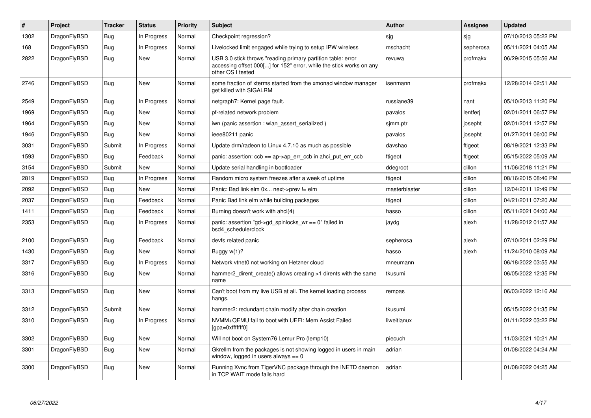| $\pmb{\#}$ | <b>Project</b> | <b>Tracker</b> | <b>Status</b> | <b>Priority</b> | <b>Subject</b>                                                                                                                                           | Author        | <b>Assignee</b> | <b>Updated</b>      |
|------------|----------------|----------------|---------------|-----------------|----------------------------------------------------------------------------------------------------------------------------------------------------------|---------------|-----------------|---------------------|
| 1302       | DragonFlyBSD   | Bug            | In Progress   | Normal          | Checkpoint regression?                                                                                                                                   | sjg           | sjg             | 07/10/2013 05:22 PM |
| 168        | DragonFlyBSD   | Bug            | In Progress   | Normal          | Livelocked limit engaged while trying to setup IPW wireless                                                                                              | mschacht      | sepherosa       | 05/11/2021 04:05 AM |
| 2822       | DragonFlyBSD   | <b>Bug</b>     | <b>New</b>    | Normal          | USB 3.0 stick throws "reading primary partition table: error<br>accessing offset 000[] for 152" error, while the stick works on any<br>other OS I tested | revuwa        | profmakx        | 06/29/2015 05:56 AM |
| 2746       | DragonFlyBSD   | Bug            | <b>New</b>    | Normal          | some fraction of xterms started from the xmonad window manager<br>get killed with SIGALRM                                                                | isenmann      | profmakx        | 12/28/2014 02:51 AM |
| 2549       | DragonFlyBSD   | <b>Bug</b>     | In Progress   | Normal          | netgraph7: Kernel page fault.                                                                                                                            | russiane39    | nant            | 05/10/2013 11:20 PM |
| 1969       | DragonFlyBSD   | Bug            | <b>New</b>    | Normal          | pf-related network problem                                                                                                                               | pavalos       | lentferj        | 02/01/2011 06:57 PM |
| 1964       | DragonFlyBSD   | <b>Bug</b>     | <b>New</b>    | Normal          | iwn (panic assertion : wlan_assert_serialized)                                                                                                           | sjmm.ptr      | josepht         | 02/01/2011 12:57 PM |
| 1946       | DragonFlyBSD   | <b>Bug</b>     | <b>New</b>    | Normal          | ieee80211 panic                                                                                                                                          | pavalos       | josepht         | 01/27/2011 06:00 PM |
| 3031       | DragonFlyBSD   | Submit         | In Progress   | Normal          | Update drm/radeon to Linux 4.7.10 as much as possible                                                                                                    | davshao       | ftigeot         | 08/19/2021 12:33 PM |
| 1593       | DragonFlyBSD   | Bug            | Feedback      | Normal          | panic: assertion: $ccb == ap \rightarrow ap$ err $ccb$ in ahci put err $ccb$                                                                             | ftigeot       | ftigeot         | 05/15/2022 05:09 AM |
| 3154       | DragonFlyBSD   | Submit         | <b>New</b>    | Normal          | Update serial handling in bootloader                                                                                                                     | ddegroot      | dillon          | 11/06/2018 11:21 PM |
| 2819       | DragonFlyBSD   | Bug            | In Progress   | Normal          | Random micro system freezes after a week of uptime                                                                                                       | ftigeot       | dillon          | 08/16/2015 08:46 PM |
| 2092       | DragonFlyBSD   | Bug            | <b>New</b>    | Normal          | Panic: Bad link elm 0x next->prev != elm                                                                                                                 | masterblaster | dillon          | 12/04/2011 12:49 PM |
| 2037       | DragonFlyBSD   | Bug            | Feedback      | Normal          | Panic Bad link elm while building packages                                                                                                               | ftigeot       | dillon          | 04/21/2011 07:20 AM |
| 1411       | DragonFlyBSD   | Bug            | Feedback      | Normal          | Burning doesn't work with ahci(4)                                                                                                                        | hasso         | dillon          | 05/11/2021 04:00 AM |
| 2353       | DragonFlyBSD   | Bug            | In Progress   | Normal          | panic: assertion "gd->gd spinlocks $wr == 0$ " failed in<br>bsd4 schedulerclock                                                                          | jaydg         | alexh           | 11/28/2012 01:57 AM |
| 2100       | DragonFlyBSD   | <b>Bug</b>     | Feedback      | Normal          | devfs related panic                                                                                                                                      | sepherosa     | alexh           | 07/10/2011 02:29 PM |
| 1430       | DragonFlyBSD   | Bug            | <b>New</b>    | Normal          | Buggy $w(1)$ ?                                                                                                                                           | hasso         | alexh           | 11/24/2010 08:09 AM |
| 3317       | DragonFlyBSD   | <b>Bug</b>     | In Progress   | Normal          | Network vtnet0 not working on Hetzner cloud                                                                                                              | mneumann      |                 | 06/18/2022 03:55 AM |
| 3316       | DragonFlyBSD   | Bug            | <b>New</b>    | Normal          | hammer2 dirent create() allows creating >1 dirents with the same<br>name                                                                                 | tkusumi       |                 | 06/05/2022 12:35 PM |
| 3313       | DragonFlyBSD   | <b>Bug</b>     | New           | Normal          | Can't boot from my live USB at all. The kernel loading process<br>hangs.                                                                                 | rempas        |                 | 06/03/2022 12:16 AM |
| 3312       | DragonFlyBSD   | Submit         | <b>New</b>    | Normal          | hammer2: redundant chain modify after chain creation                                                                                                     | tkusumi       |                 | 05/15/2022 01:35 PM |
| 3310       | DragonFlyBSD   | <b>Bug</b>     | In Progress   | Normal          | NVMM+QEMU fail to boot with UEFI: Mem Assist Failed<br>[gpa=0xfffffff0]                                                                                  | liweitianux   |                 | 01/11/2022 03:22 PM |
| 3302       | DragonFlyBSD   | <b>Bug</b>     | <b>New</b>    | Normal          | Will not boot on System76 Lemur Pro (lemp10)                                                                                                             | piecuch       |                 | 11/03/2021 10:21 AM |
| 3301       | DragonFlyBSD   | <b>Bug</b>     | New           | Normal          | Gkrellm from the packages is not showing logged in users in main<br>window, logged in users always $== 0$                                                | adrian        |                 | 01/08/2022 04:24 AM |
| 3300       | DragonFlyBSD   | <b>Bug</b>     | <b>New</b>    | Normal          | Running Xvnc from TigerVNC package through the INETD daemon<br>in TCP WAIT mode fails hard                                                               | adrian        |                 | 01/08/2022 04:25 AM |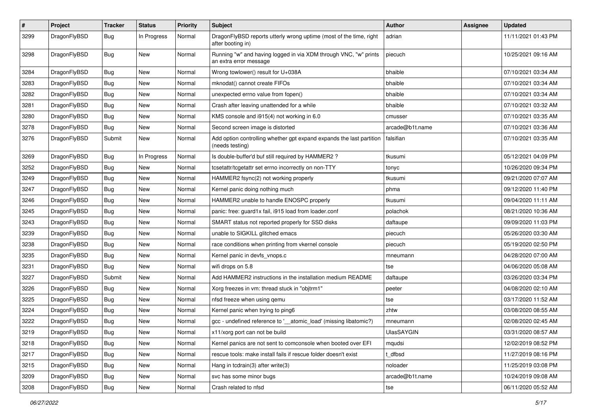| $\sharp$ | Project      | <b>Tracker</b> | <b>Status</b> | <b>Priority</b> | <b>Subject</b>                                                                             | <b>Author</b>     | Assignee | <b>Updated</b>      |
|----------|--------------|----------------|---------------|-----------------|--------------------------------------------------------------------------------------------|-------------------|----------|---------------------|
| 3299     | DragonFlyBSD | Bug            | In Progress   | Normal          | DragonFlyBSD reports utterly wrong uptime (most of the time, right<br>after booting in)    | adrian            |          | 11/11/2021 01:43 PM |
| 3298     | DragonFlyBSD | Bug            | <b>New</b>    | Normal          | Running "w" and having logged in via XDM through VNC, "w" prints<br>an extra error message | piecuch           |          | 10/25/2021 09:16 AM |
| 3284     | DragonFlyBSD | Bug            | <b>New</b>    | Normal          | Wrong towlower() result for U+038A                                                         | bhaible           |          | 07/10/2021 03:34 AM |
| 3283     | DragonFlyBSD | Bug            | New           | Normal          | mknodat() cannot create FIFOs                                                              | bhaible           |          | 07/10/2021 03:34 AM |
| 3282     | DragonFlyBSD | <b>Bug</b>     | New           | Normal          | unexpected errno value from fopen()                                                        | bhaible           |          | 07/10/2021 03:34 AM |
| 3281     | DragonFlyBSD | <b>Bug</b>     | New           | Normal          | Crash after leaving unattended for a while                                                 | bhaible           |          | 07/10/2021 03:32 AM |
| 3280     | DragonFlyBSD | <b>Bug</b>     | <b>New</b>    | Normal          | KMS console and i915(4) not working in 6.0                                                 | cmusser           |          | 07/10/2021 03:35 AM |
| 3278     | DragonFlyBSD | <b>Bug</b>     | New           | Normal          | Second screen image is distorted                                                           | arcade@b1t.name   |          | 07/10/2021 03:36 AM |
| 3276     | DragonFlyBSD | Submit         | New           | Normal          | Add option controlling whether gpt expand expands the last partition<br>(needs testing)    | falsifian         |          | 07/10/2021 03:35 AM |
| 3269     | DragonFlyBSD | Bug            | In Progress   | Normal          | Is double-buffer'd buf still required by HAMMER2 ?                                         | tkusumi           |          | 05/12/2021 04:09 PM |
| 3252     | DragonFlyBSD | <b>Bug</b>     | New           | Normal          | tcsetattr/tcgetattr set errno incorrectly on non-TTY                                       | tonyc             |          | 10/26/2020 09:34 PM |
| 3249     | DragonFlyBSD | <b>Bug</b>     | New           | Normal          | HAMMER2 fsync(2) not working properly                                                      | tkusumi           |          | 09/21/2020 07:07 AM |
| 3247     | DragonFlyBSD | Bug            | <b>New</b>    | Normal          | Kernel panic doing nothing much                                                            | phma              |          | 09/12/2020 11:40 PM |
| 3246     | DragonFlyBSD | <b>Bug</b>     | New           | Normal          | HAMMER2 unable to handle ENOSPC properly                                                   | tkusumi           |          | 09/04/2020 11:11 AM |
| 3245     | DragonFlyBSD | <b>Bug</b>     | <b>New</b>    | Normal          | panic: free: guard1x fail, i915 load from loader.conf                                      | polachok          |          | 08/21/2020 10:36 AM |
| 3243     | DragonFlyBSD | <b>Bug</b>     | New           | Normal          | SMART status not reported properly for SSD disks                                           | daftaupe          |          | 09/09/2020 11:03 PM |
| 3239     | DragonFlyBSD | <b>Bug</b>     | <b>New</b>    | Normal          | unable to SIGKILL glitched emacs                                                           | piecuch           |          | 05/26/2020 03:30 AM |
| 3238     | DragonFlyBSD | <b>Bug</b>     | New           | Normal          | race conditions when printing from vkernel console                                         | piecuch           |          | 05/19/2020 02:50 PM |
| 3235     | DragonFlyBSD | <b>Bug</b>     | <b>New</b>    | Normal          | Kernel panic in devfs_vnops.c                                                              | mneumann          |          | 04/28/2020 07:00 AM |
| 3231     | DragonFlyBSD | <b>Bug</b>     | <b>New</b>    | Normal          | wifi drops on 5.8                                                                          | tse               |          | 04/06/2020 05:08 AM |
| 3227     | DragonFlyBSD | Submit         | New           | Normal          | Add HAMMER2 instructions in the installation medium README                                 | daftaupe          |          | 03/26/2020 03:34 PM |
| 3226     | DragonFlyBSD | <b>Bug</b>     | New           | Normal          | Xorg freezes in vm: thread stuck in "objtrm1"                                              | peeter            |          | 04/08/2020 02:10 AM |
| 3225     | DragonFlyBSD | <b>Bug</b>     | <b>New</b>    | Normal          | nfsd freeze when using qemu                                                                | tse               |          | 03/17/2020 11:52 AM |
| 3224     | DragonFlyBSD | Bug            | New           | Normal          | Kernel panic when trying to ping6                                                          | zhtw              |          | 03/08/2020 08:55 AM |
| 3222     | DragonFlyBSD | <b>Bug</b>     | <b>New</b>    | Normal          | gcc - undefined reference to '__atomic_load' (missing libatomic?)                          | mneumann          |          | 02/08/2020 02:45 AM |
| 3219     | DragonFlyBSD | Bug            | <b>New</b>    | Normal          | x11/xorg port can not be build                                                             | <b>UlasSAYGIN</b> |          | 03/31/2020 08:57 AM |
| 3218     | DragonFlyBSD | <b>Bug</b>     | New           | Normal          | Kernel panics are not sent to comconsole when booted over EFI                              | mqudsi            |          | 12/02/2019 08:52 PM |
| 3217     | DragonFlyBSD | Bug            | New           | Normal          | rescue tools: make install fails if rescue folder doesn't exist                            | t_dfbsd           |          | 11/27/2019 08:16 PM |
| 3215     | DragonFlyBSD | <b>Bug</b>     | New           | Normal          | Hang in tcdrain(3) after write(3)                                                          | noloader          |          | 11/25/2019 03:08 PM |
| 3209     | DragonFlyBSD | <b>Bug</b>     | New           | Normal          | svc has some minor bugs                                                                    | arcade@b1t.name   |          | 10/24/2019 09:08 AM |
| 3208     | DragonFlyBSD | <b>Bug</b>     | New           | Normal          | Crash related to nfsd                                                                      | tse               |          | 06/11/2020 05:52 AM |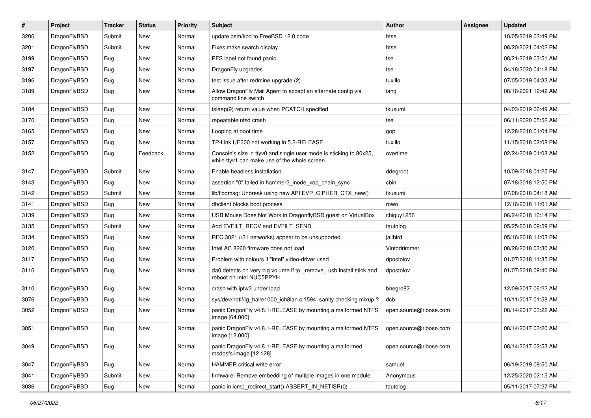| $\sharp$ | Project      | <b>Tracker</b> | <b>Status</b> | <b>Priority</b> | Subject                                                                                                            | <b>Author</b>          | <b>Assignee</b> | <b>Updated</b>      |
|----------|--------------|----------------|---------------|-----------------|--------------------------------------------------------------------------------------------------------------------|------------------------|-----------------|---------------------|
| 3206     | DragonFlyBSD | Submit         | <b>New</b>    | Normal          | update psm/kbd to FreeBSD 12.0 code                                                                                | htse                   |                 | 10/05/2019 03:49 PM |
| 3201     | DragonFlyBSD | Submit         | New           | Normal          | Fixes make search display                                                                                          | htse                   |                 | 08/20/2021 04:02 PM |
| 3199     | DragonFlyBSD | <b>Bug</b>     | New           | Normal          | PFS label not found panic                                                                                          | tse                    |                 | 08/21/2019 03:51 AM |
| 3197     | DragonFlyBSD | <b>Bug</b>     | New           | Normal          | DragonFly upgrades                                                                                                 | tse                    |                 | 04/18/2020 04:18 PM |
| 3196     | DragonFlyBSD | <b>Bug</b>     | New           | Normal          | test issue after redmine upgrade (2)                                                                               | tuxillo                |                 | 07/05/2019 04:33 AM |
| 3189     | DragonFlyBSD | <b>Bug</b>     | <b>New</b>    | Normal          | Allow DragonFly Mail Agent to accept an alternate config via<br>command line switch                                | iang                   |                 | 08/16/2021 12:42 AM |
| 3184     | DragonFlyBSD | Bug            | <b>New</b>    | Normal          | tsleep(9) return value when PCATCH specified                                                                       | tkusumi                |                 | 04/03/2019 06:49 AM |
| 3170     | DragonFlyBSD | <b>Bug</b>     | <b>New</b>    | Normal          | repeatable nfsd crash                                                                                              | tse                    |                 | 06/11/2020 05:52 AM |
| 3165     | DragonFlyBSD | Bug            | <b>New</b>    | Normal          | Looping at boot time                                                                                               | gop                    |                 | 12/28/2018 01:04 PM |
| 3157     | DragonFlyBSD | <b>Bug</b>     | New           | Normal          | TP-Link UE300 not working in 5.2-RELEASE                                                                           | tuxillo                |                 | 11/15/2018 02:08 PM |
| 3152     | DragonFlyBSD | Bug            | Feedback      | Normal          | Console's size in ttyv0 and single user mode is sticking to 80x25,<br>while ttyv1 can make use of the whole screen | overtime               |                 | 02/24/2019 01:08 AM |
| 3147     | DragonFlyBSD | Submit         | <b>New</b>    | Normal          | Enable headless installation                                                                                       | ddegroot               |                 | 10/09/2018 01:25 PM |
| 3143     | DragonFlyBSD | Bug            | New           | Normal          | assertion "0" failed in hammer2_inode_xop_chain_sync                                                               | cbin                   |                 | 07/18/2018 12:50 PM |
| 3142     | DragonFlyBSD | Submit         | New           | Normal          | lib/libdmsg: Unbreak using new API EVP_CIPHER_CTX_new()                                                            | tkusumi                |                 | 07/08/2018 04:18 AM |
| 3141     | DragonFlyBSD | <b>Bug</b>     | New           | Normal          | dhclient blocks boot process                                                                                       | rowo                   |                 | 12/16/2018 11:01 AM |
| 3139     | DragonFlyBSD | Bug            | <b>New</b>    | Normal          | USB Mouse Does Not Work in DragonflyBSD guest on VirtualBox                                                        | chiguy1256             |                 | 06/24/2018 10:14 PM |
| 3135     | DragonFlyBSD | Submit         | <b>New</b>    | Normal          | Add EVFILT_RECV and EVFILT_SEND                                                                                    | tautolog               |                 | 05/25/2018 09:59 PM |
| 3134     | DragonFlyBSD | Bug            | <b>New</b>    | Normal          | RFC 3021 (/31 networks) appear to be unsupported                                                                   | jailbird               |                 | 05/16/2018 11:03 PM |
| 3120     | DragonFlyBSD | <b>Bug</b>     | New           | Normal          | Intel AC 8260 firmware does not load                                                                               | Vintodrimmer           |                 | 08/28/2018 03:30 AM |
| 3117     | DragonFlyBSD | <b>Bug</b>     | New           | Normal          | Problem with colours if "intel" video-driver used                                                                  | dpostolov              |                 | 01/07/2018 11:35 PM |
| 3116     | DragonFlyBSD | Bug            | New           | Normal          | da0 detects on very big volume if to _remove_ usb install stick and<br>reboot on Intel NUC5PPYH                    | dpostolov              |                 | 01/07/2018 09:40 PM |
| 3110     | DragonFlyBSD | Bug            | <b>New</b>    | Normal          | crash with ipfw3 under load                                                                                        | bnegre82               |                 | 12/09/2017 06:22 AM |
| 3076     | DragonFlyBSD | <b>Bug</b>     | <b>New</b>    | Normal          | sys/dev/netif/ig hal/e1000 ich8lan.c:1594: sanity checking mixup?                                                  | dcb                    |                 | 10/11/2017 01:58 AM |
| 3052     | DragonFlyBSD | <b>Bug</b>     | <b>New</b>    | Normal          | panic DragonFly v4.8.1-RELEASE by mounting a malformed NTFS<br>image [64.000]                                      | open.source@ribose.com |                 | 08/14/2017 03:22 AM |
| 3051     | DragonFlyBSD | Bug            | <b>New</b>    | Normal          | panic DragonFly v4.8.1-RELEASE by mounting a malformed NTFS<br>$\text{image}$ [12.000]                             | open.source@ribose.com |                 | 08/14/2017 03:20 AM |
| 3049     | DragonFlyBSD | <b>Bug</b>     | New           | Normal          | panic DragonFly v4.8.1-RELEASE by mounting a malformed<br>msdosfs image [12.128]                                   | open.source@ribose.com |                 | 08/14/2017 02:53 AM |
| 3047     | DragonFlyBSD | <b>Bug</b>     | New           | Normal          | HAMMER critical write error                                                                                        | samuel                 |                 | 06/19/2019 09:50 AM |
| 3041     | DragonFlyBSD | Submit         | <b>New</b>    | Normal          | firmware: Remove embedding of multiple images in one module.                                                       | Anonymous              |                 | 12/25/2020 02:15 AM |
| 3036     | DragonFlyBSD | <b>Bug</b>     | New           | Normal          | panic in icmp_redirect_start() ASSERT_IN_NETISR(0)                                                                 | tautolog               |                 | 05/11/2017 07:27 PM |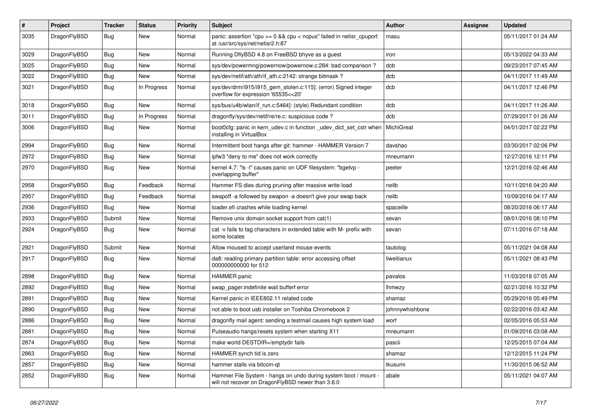| $\#$ | Project      | <b>Tracker</b> | <b>Status</b> | <b>Priority</b> | <b>Subject</b>                                                                                                       | <b>Author</b>   | Assignee | <b>Updated</b>      |
|------|--------------|----------------|---------------|-----------------|----------------------------------------------------------------------------------------------------------------------|-----------------|----------|---------------------|
| 3035 | DragonFlyBSD | <b>Bug</b>     | New           | Normal          | panic: assertion "cpu $>= 0$ && cpu < ncpus" failed in netisr cpuport<br>at /usr/src/sys/net/netisr2.h:87            | masu            |          | 05/11/2017 01:24 AM |
| 3029 | DragonFlyBSD | <b>Bug</b>     | New           | Normal          | Running DflyBSD 4.8 on FreeBSD bhyve as a guest                                                                      | iron            |          | 05/13/2022 04:33 AM |
| 3025 | DragonFlyBSD | <b>Bug</b>     | New           | Normal          | sys/dev/powermng/powernow/powernow.c:284: bad comparison?                                                            | dcb             |          | 09/23/2017 07:45 AM |
| 3022 | DragonFlyBSD | Bug            | <b>New</b>    | Normal          | sys/dev/netif/ath/ath/if_ath.c:2142: strange bitmask?                                                                | dcb             |          | 04/11/2017 11:49 AM |
| 3021 | DragonFlyBSD | Bug            | In Progress   | Normal          | sys/dev/drm/i915/i915_gem_stolen.c:115]: (error) Signed integer<br>overflow for expression '65535<<20'               | dcb             |          | 04/11/2017 12:46 PM |
| 3018 | DragonFlyBSD | <b>Bug</b>     | New           | Normal          | sys/bus/u4b/wlan/if_run.c:5464]: (style) Redundant condition                                                         | dcb             |          | 04/11/2017 11:26 AM |
| 3011 | DragonFlyBSD | Bug            | In Progress   | Normal          | dragonfly/sys/dev/netif/re/re.c: suspicious code?                                                                    | dcb             |          | 07/29/2017 01:26 AM |
| 3006 | DragonFlyBSD | Bug            | New           | Normal          | boot0cfg: panic in kern_udev.c in function _udev_dict_set_cstr when<br>installing in VirtualBox                      | MichiGreat      |          | 04/01/2017 02:22 PM |
| 2994 | DragonFlyBSD | Bug            | New           | Normal          | Intermittent boot hangs after git: hammer - HAMMER Version 7                                                         | davshao         |          | 03/30/2017 02:06 PM |
| 2972 | DragonFlyBSD | Bug            | New           | Normal          | ipfw3 "deny to me" does not work correctly                                                                           | mneumann        |          | 12/27/2016 12:11 PM |
| 2970 | DragonFlyBSD | Bug            | New           | Normal          | kernel 4.7: "Is -I" causes panic on UDF filesystem: "bgetvp -<br>overlapping buffer"                                 | peeter          |          | 12/21/2016 02:46 AM |
| 2958 | DragonFlyBSD | Bug            | Feedback      | Normal          | Hammer FS dies during pruning after massive write load                                                               | neilb           |          | 10/11/2016 04:20 AM |
| 2957 | DragonFlyBSD | Bug            | Feedback      | Normal          | swapoff -a followed by swapon -a doesn't give your swap back                                                         | neilb           |          | 10/09/2016 04:17 AM |
| 2936 | DragonFlyBSD | Bug            | <b>New</b>    | Normal          | loader.efi crashes while loading kernel                                                                              | spaceille       |          | 08/20/2016 06:17 AM |
| 2933 | DragonFlyBSD | Submit         | New           | Normal          | Remove unix domain socket support from cat(1)                                                                        | sevan           |          | 08/01/2016 08:10 PM |
| 2924 | DragonFlyBSD | <b>Bug</b>     | New           | Normal          | cat -v fails to tag characters in extended table with M- prefix with<br>some locales                                 | sevan           |          | 07/11/2016 07:18 AM |
| 2921 | DragonFlyBSD | Submit         | <b>New</b>    | Normal          | Allow moused to accept userland mouse events                                                                         | tautolog        |          | 05/11/2021 04:08 AM |
| 2917 | DragonFlyBSD | <b>Bug</b>     | New           | Normal          | da8: reading primary partition table: error accessing offset<br>000000000000 for 512                                 | liweitianux     |          | 05/11/2021 08:43 PM |
| 2898 | DragonFlyBSD | Bug            | New           | Normal          | <b>HAMMER</b> panic                                                                                                  | pavalos         |          | 11/03/2018 07:05 AM |
| 2892 | DragonFlyBSD | Bug            | New           | Normal          | swap_pager:indefinite wait bufferf error                                                                             | lhmwzy          |          | 02/21/2016 10:32 PM |
| 2891 | DragonFlyBSD | Bug            | New           | Normal          | Kernel panic in IEEE802.11 related code                                                                              | shamaz          |          | 05/29/2016 05:49 PM |
| 2890 | DragonFlyBSD | Bug            | New           | Normal          | not able to boot usb installer on Toshiba Chromebook 2                                                               | johnnywhishbone |          | 02/22/2016 03:42 AM |
| 2886 | DragonFlyBSD | Bug            | New           | Normal          | dragonfly mail agent: sending a testmail causes high system load                                                     | worf            |          | 02/05/2016 05:53 AM |
| 2881 | DragonFlyBSD | Bug            | <b>New</b>    | Normal          | Pulseaudio hangs/resets system when starting X11                                                                     | mneumann        |          | 01/09/2016 03:08 AM |
| 2874 | DragonFlyBSD | <b>Bug</b>     | New           | Normal          | make world DESTDIR=/emptydir fails                                                                                   | pascii          |          | 12/25/2015 07:04 AM |
| 2863 | DragonFlyBSD | <b>Bug</b>     | <b>New</b>    | Normal          | HAMMER synch tid is zero                                                                                             | shamaz          |          | 12/12/2015 11:24 PM |
| 2857 | DragonFlyBSD | <b>Bug</b>     | <b>New</b>    | Normal          | hammer stalls via bitcoin-qt                                                                                         | tkusumi         |          | 11/30/2015 06:52 AM |
| 2852 | DragonFlyBSD | <b>Bug</b>     | New           | Normal          | Hammer File System - hangs on undo during system boot / mount -<br>will not recover on DragonFlyBSD newer than 3.6.0 | abale           |          | 05/11/2021 04:07 AM |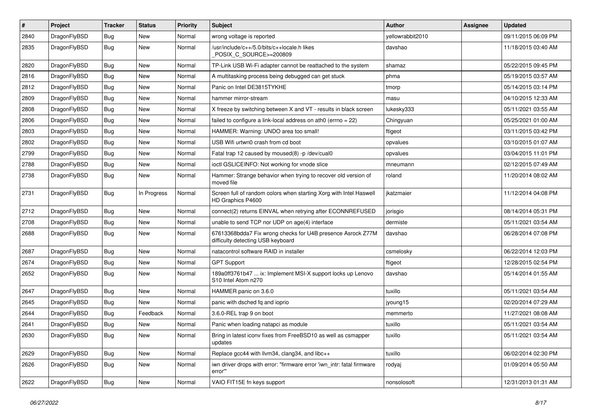| #    | Project      | <b>Tracker</b> | <b>Status</b> | <b>Priority</b> | Subject                                                                                          | <b>Author</b>    | Assignee | <b>Updated</b>      |
|------|--------------|----------------|---------------|-----------------|--------------------------------------------------------------------------------------------------|------------------|----------|---------------------|
| 2840 | DragonFlyBSD | Bug            | <b>New</b>    | Normal          | wrong voltage is reported                                                                        | yellowrabbit2010 |          | 09/11/2015 06:09 PM |
| 2835 | DragonFlyBSD | <b>Bug</b>     | <b>New</b>    | Normal          | /usr/include/c++/5.0/bits/c++locale.h likes<br>POSIX_C_SOURCE>=200809                            | davshao          |          | 11/18/2015 03:40 AM |
| 2820 | DragonFlyBSD | Bug            | New           | Normal          | TP-Link USB Wi-Fi adapter cannot be reattached to the system                                     | shamaz           |          | 05/22/2015 09:45 PM |
| 2816 | DragonFlyBSD | Bug            | New           | Normal          | A multitasking process being debugged can get stuck                                              | phma             |          | 05/19/2015 03:57 AM |
| 2812 | DragonFlyBSD | Bug            | <b>New</b>    | Normal          | Panic on Intel DE3815TYKHE                                                                       | tmorp            |          | 05/14/2015 03:14 PM |
| 2809 | DragonFlyBSD | Bug            | <b>New</b>    | Normal          | hammer mirror-stream                                                                             | masu             |          | 04/10/2015 12:33 AM |
| 2808 | DragonFlyBSD | Bug            | New           | Normal          | X freeze by switching between X and VT - results in black screen                                 | lukesky333       |          | 05/11/2021 03:55 AM |
| 2806 | DragonFlyBSD | Bug            | New           | Normal          | failed to configure a link-local address on ath $0$ (errno = 22)                                 | Chingyuan        |          | 05/25/2021 01:00 AM |
| 2803 | DragonFlyBSD | Bug            | <b>New</b>    | Normal          | HAMMER: Warning: UNDO area too small!                                                            | ftigeot          |          | 03/11/2015 03:42 PM |
| 2802 | DragonFlyBSD | Bug            | New           | Normal          | USB Wifi urtwn0 crash from cd boot                                                               | opvalues         |          | 03/10/2015 01:07 AM |
| 2799 | DragonFlyBSD | Bug            | New           | Normal          | Fatal trap 12 caused by moused(8) -p /dev/cual0                                                  | opvalues         |          | 03/04/2015 11:01 PM |
| 2788 | DragonFlyBSD | Bug            | New           | Normal          | ioctl GSLICEINFO: Not working for vnode slice                                                    | mneumann         |          | 02/12/2015 07:49 AM |
| 2738 | DragonFlyBSD | Bug            | New           | Normal          | Hammer: Strange behavior when trying to recover old version of<br>moved file                     | roland           |          | 11/20/2014 08:02 AM |
| 2731 | DragonFlyBSD | Bug            | In Progress   | Normal          | Screen full of random colors when starting Xorg with Intel Haswell<br>HD Graphics P4600          | jkatzmaier       |          | 11/12/2014 04:08 PM |
| 2712 | DragonFlyBSD | Bug            | <b>New</b>    | Normal          | connect(2) returns EINVAL when retrying after ECONNREFUSED                                       | jorisgio         |          | 08/14/2014 05:31 PM |
| 2708 | DragonFlyBSD | Bug            | New           | Normal          | unable to send TCP nor UDP on age(4) interface                                                   | dermiste         |          | 05/11/2021 03:54 AM |
| 2688 | DragonFlyBSD | Bug            | <b>New</b>    | Normal          | 67613368bdda7 Fix wrong checks for U4B presence Asrock Z77M<br>difficulty detecting USB keyboard | davshao          |          | 06/28/2014 07:08 PM |
| 2687 | DragonFlyBSD | Bug            | New           | Normal          | natacontrol software RAID in installer                                                           | csmelosky        |          | 06/22/2014 12:03 PM |
| 2674 | DragonFlyBSD | Bug            | New           | Normal          | <b>GPT Support</b>                                                                               | ftigeot          |          | 12/28/2015 02:54 PM |
| 2652 | DragonFlyBSD | Bug            | <b>New</b>    | Normal          | 189a0ff3761b47  ix: Implement MSI-X support locks up Lenovo<br>S10 Intel Atom n270               | davshao          |          | 05/14/2014 01:55 AM |
| 2647 | DragonFlyBSD | Bug            | <b>New</b>    | Normal          | HAMMER panic on 3.6.0                                                                            | tuxillo          |          | 05/11/2021 03:54 AM |
| 2645 | DragonFlyBSD | Bug            | New           | Normal          | panic with dsched fq and ioprio                                                                  | jyoung15         |          | 02/20/2014 07:29 AM |
| 2644 | DragonFlyBSD | Bug            | Feedback      | Normal          | 3.6.0-REL trap 9 on boot                                                                         | memmerto         |          | 11/27/2021 08:08 AM |
| 2641 | DragonFlyBSD | <b>Bug</b>     | New           | Normal          | Panic when loading natapci as module                                                             | tuxillo          |          | 05/11/2021 03:54 AM |
| 2630 | DragonFlyBSD | <b>Bug</b>     | New           | Normal          | Bring in latest iconv fixes from FreeBSD10 as well as csmapper<br>updates                        | tuxillo          |          | 05/11/2021 03:54 AM |
| 2629 | DragonFlyBSD | Bug            | <b>New</b>    | Normal          | Replace gcc44 with llvm34, clang34, and libc++                                                   | tuxillo          |          | 06/02/2014 02:30 PM |
| 2626 | DragonFlyBSD | <b>Bug</b>     | New           | Normal          | iwn driver drops with error: "firmware error 'iwn_intr: fatal firmware<br>error""                | rodyaj           |          | 01/09/2014 05:50 AM |
| 2622 | DragonFlyBSD | <b>Bug</b>     | New           | Normal          | VAIO FIT15E fn keys support                                                                      | nonsolosoft      |          | 12/31/2013 01:31 AM |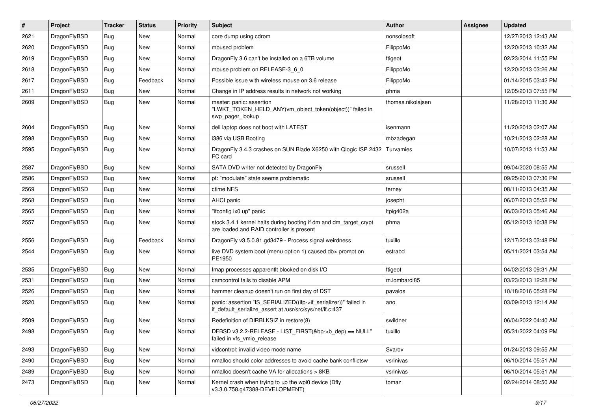| $\vert$ # | Project      | <b>Tracker</b> | <b>Status</b> | <b>Priority</b> | <b>Subject</b>                                                                                                               | <b>Author</b>     | Assignee | <b>Updated</b>      |
|-----------|--------------|----------------|---------------|-----------------|------------------------------------------------------------------------------------------------------------------------------|-------------------|----------|---------------------|
| 2621      | DragonFlyBSD | Bug            | <b>New</b>    | Normal          | core dump using cdrom                                                                                                        | nonsolosoft       |          | 12/27/2013 12:43 AM |
| 2620      | DragonFlyBSD | <b>Bug</b>     | <b>New</b>    | Normal          | moused problem                                                                                                               | FilippoMo         |          | 12/20/2013 10:32 AM |
| 2619      | DragonFlyBSD | <b>Bug</b>     | <b>New</b>    | Normal          | DragonFly 3.6 can't be installed on a 6TB volume                                                                             | ftigeot           |          | 02/23/2014 11:55 PM |
| 2618      | DragonFlyBSD | Bug            | <b>New</b>    | Normal          | mouse problem on RELEASE-3_6_0                                                                                               | FilippoMo         |          | 12/20/2013 03:26 AM |
| 2617      | DragonFlyBSD | <b>Bug</b>     | Feedback      | Normal          | Possible issue with wireless mouse on 3.6 release                                                                            | FilippoMo         |          | 01/14/2015 03:42 PM |
| 2611      | DragonFlyBSD | <b>Bug</b>     | <b>New</b>    | Normal          | Change in IP address results in network not working                                                                          | phma              |          | 12/05/2013 07:55 PM |
| 2609      | DragonFlyBSD | Bug            | <b>New</b>    | Normal          | master: panic: assertion<br>"LWKT_TOKEN_HELD_ANY(vm_object_token(object))" failed in<br>swp pager lookup                     | thomas.nikolajsen |          | 11/28/2013 11:36 AM |
| 2604      | DragonFlyBSD | Bug            | <b>New</b>    | Normal          | dell laptop does not boot with LATEST                                                                                        | isenmann          |          | 11/20/2013 02:07 AM |
| 2598      | DragonFlyBSD | <b>Bug</b>     | <b>New</b>    | Normal          | i386 via USB Booting                                                                                                         | mbzadegan         |          | 10/21/2013 02:28 AM |
| 2595      | DragonFlyBSD | Bug            | <b>New</b>    | Normal          | DragonFly 3.4.3 crashes on SUN Blade X6250 with Qlogic ISP 2432<br>FC card                                                   | Turvamies         |          | 10/07/2013 11:53 AM |
| 2587      | DragonFlyBSD | <b>Bug</b>     | <b>New</b>    | Normal          | SATA DVD writer not detected by DragonFly                                                                                    | srussell          |          | 09/04/2020 08:55 AM |
| 2586      | DragonFlyBSD | Bug            | <b>New</b>    | Normal          | pf: "modulate" state seems problematic                                                                                       | srussell          |          | 09/25/2013 07:36 PM |
| 2569      | DragonFlyBSD | Bug            | <b>New</b>    | Normal          | ctime NFS                                                                                                                    | ferney            |          | 08/11/2013 04:35 AM |
| 2568      | DragonFlyBSD | <b>Bug</b>     | <b>New</b>    | Normal          | AHCI panic                                                                                                                   | josepht           |          | 06/07/2013 05:52 PM |
| 2565      | DragonFlyBSD | <b>Bug</b>     | <b>New</b>    | Normal          | "ifconfig ix0 up" panic                                                                                                      | Itpig402a         |          | 06/03/2013 05:46 AM |
| 2557      | DragonFlyBSD | Bug            | <b>New</b>    | Normal          | stock 3.4.1 kernel halts during booting if dm and dm_target_crypt<br>are loaded and RAID controller is present               | phma              |          | 05/12/2013 10:38 PM |
| 2556      | DragonFlyBSD | Bug            | Feedback      | Normal          | DragonFly v3.5.0.81.gd3479 - Process signal weirdness                                                                        | tuxillo           |          | 12/17/2013 03:48 PM |
| 2544      | DragonFlyBSD | Bug            | <b>New</b>    | Normal          | live DVD system boot (menu option 1) caused db> prompt on<br>PE1950                                                          | estrabd           |          | 05/11/2021 03:54 AM |
| 2535      | DragonFlyBSD | <b>Bug</b>     | <b>New</b>    | Normal          | Imap processes apparentlt blocked on disk I/O                                                                                | ftigeot           |          | 04/02/2013 09:31 AM |
| 2531      | DragonFlyBSD | Bug            | <b>New</b>    | Normal          | camcontrol fails to disable APM                                                                                              | m.lombardi85      |          | 03/23/2013 12:28 PM |
| 2526      | DragonFlyBSD | <b>Bug</b>     | <b>New</b>    | Normal          | hammer cleanup doesn't run on first day of DST                                                                               | pavalos           |          | 10/18/2016 05:28 PM |
| 2520      | DragonFlyBSD | Bug            | <b>New</b>    | Normal          | panic: assertion "IS_SERIALIZED((ifp->if_serializer))" failed in<br>if_default_serialize_assert at /usr/src/sys/net/if.c:437 | ano               |          | 03/09/2013 12:14 AM |
| 2509      | DragonFlyBSD | <b>Bug</b>     | <b>New</b>    | Normal          | Redefinition of DIRBLKSIZ in restore(8)                                                                                      | swildner          |          | 06/04/2022 04:40 AM |
| 2498      | DragonFlyBSD | Bug            | New           | Normal          | DFBSD v3.2.2-RELEASE - LIST_FIRST(&bp->b_dep) == NULL"<br>failed in vfs_vmio_release                                         | tuxillo           |          | 05/31/2022 04:09 PM |
| 2493      | DragonFlyBSD | <b>Bug</b>     | New           | Normal          | vidcontrol: invalid video mode name                                                                                          | Svarov            |          | 01/24/2013 09:55 AM |
| 2490      | DragonFlyBSD | Bug            | New           | Normal          | nmalloc should color addresses to avoid cache bank conflictsw                                                                | vsrinivas         |          | 06/10/2014 05:51 AM |
| 2489      | DragonFlyBSD | Bug            | New           | Normal          | nmalloc doesn't cache VA for allocations > 8KB                                                                               | vsrinivas         |          | 06/10/2014 05:51 AM |
| 2473      | DragonFlyBSD | Bug            | New           | Normal          | Kernel crash when trying to up the wpi0 device (Dfly<br>v3.3.0.758.g47388-DEVELOPMENT)                                       | tomaz             |          | 02/24/2014 08:50 AM |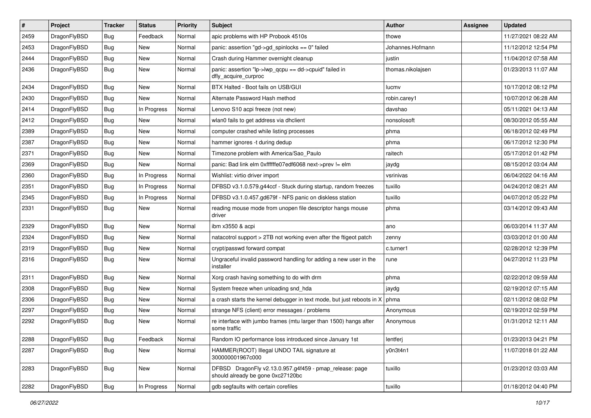| #    | Project      | <b>Tracker</b> | <b>Status</b> | <b>Priority</b> | Subject                                                                                      | <b>Author</b>     | Assignee | <b>Updated</b>      |
|------|--------------|----------------|---------------|-----------------|----------------------------------------------------------------------------------------------|-------------------|----------|---------------------|
| 2459 | DragonFlyBSD | Bug            | Feedback      | Normal          | apic problems with HP Probook 4510s                                                          | thowe             |          | 11/27/2021 08:22 AM |
| 2453 | DragonFlyBSD | Bug            | New           | Normal          | panic: assertion "gd->gd_spinlocks == 0" failed                                              | Johannes.Hofmann  |          | 11/12/2012 12:54 PM |
| 2444 | DragonFlyBSD | <b>Bug</b>     | New           | Normal          | Crash during Hammer overnight cleanup                                                        | justin            |          | 11/04/2012 07:58 AM |
| 2436 | DragonFlyBSD | Bug            | New           | Normal          | panic: assertion "lp->lwp_qcpu == dd->cpuid" failed in<br>dfly_acquire_curproc               | thomas.nikolajsen |          | 01/23/2013 11:07 AM |
| 2434 | DragonFlyBSD | Bug            | New           | Normal          | BTX Halted - Boot fails on USB/GUI                                                           | lucmv             |          | 10/17/2012 08:12 PM |
| 2430 | DragonFlyBSD | <b>Bug</b>     | New           | Normal          | Alternate Password Hash method                                                               | robin.carey1      |          | 10/07/2012 06:28 AM |
| 2414 | DragonFlyBSD | Bug            | In Progress   | Normal          | Lenovo S10 acpi freeze (not new)                                                             | davshao           |          | 05/11/2021 04:13 AM |
| 2412 | DragonFlyBSD | Bug            | New           | Normal          | wlan0 fails to get address via dhclient                                                      | nonsolosoft       |          | 08/30/2012 05:55 AM |
| 2389 | DragonFlyBSD | <b>Bug</b>     | New           | Normal          | computer crashed while listing processes                                                     | phma              |          | 06/18/2012 02:49 PM |
| 2387 | DragonFlyBSD | <b>Bug</b>     | New           | Normal          | hammer ignores -t during dedup                                                               | phma              |          | 06/17/2012 12:30 PM |
| 2371 | DragonFlyBSD | Bug            | New           | Normal          | Timezone problem with America/Sao_Paulo                                                      | raitech           |          | 05/17/2012 01:42 PM |
| 2369 | DragonFlyBSD | <b>Bug</b>     | New           | Normal          | panic: Bad link elm 0xffffffe07edf6068 next->prev != elm                                     | jaydg             |          | 08/15/2012 03:04 AM |
| 2360 | DragonFlyBSD | Bug            | In Progress   | Normal          | Wishlist: virtio driver import                                                               | vsrinivas         |          | 06/04/2022 04:16 AM |
| 2351 | DragonFlyBSD | <b>Bug</b>     | In Progress   | Normal          | DFBSD v3.1.0.579.g44ccf - Stuck during startup, random freezes                               | tuxillo           |          | 04/24/2012 08:21 AM |
| 2345 | DragonFlyBSD | <b>Bug</b>     | In Progress   | Normal          | DFBSD v3.1.0.457.gd679f - NFS panic on diskless station                                      | tuxillo           |          | 04/07/2012 05:22 PM |
| 2331 | DragonFlyBSD | Bug            | New           | Normal          | reading mouse mode from unopen file descriptor hangs mouse<br>driver                         | phma              |          | 03/14/2012 09:43 AM |
| 2329 | DragonFlyBSD | Bug            | New           | Normal          | ibm x3550 & acpi                                                                             | ano               |          | 06/03/2014 11:37 AM |
| 2324 | DragonFlyBSD | Bug            | <b>New</b>    | Normal          | natacotrol support > 2TB not working even after the ftigeot patch                            | zenny             |          | 03/03/2012 01:00 AM |
| 2319 | DragonFlyBSD | <b>Bug</b>     | New           | Normal          | crypt/passwd forward compat                                                                  | c.turner1         |          | 02/28/2012 12:39 PM |
| 2316 | DragonFlyBSD | Bug            | New           | Normal          | Ungraceful invalid password handling for adding a new user in the<br>installer               | rune              |          | 04/27/2012 11:23 PM |
| 2311 | DragonFlyBSD | <b>Bug</b>     | New           | Normal          | Xorg crash having something to do with drm                                                   | phma              |          | 02/22/2012 09:59 AM |
| 2308 | DragonFlyBSD | <b>Bug</b>     | New           | Normal          | System freeze when unloading snd_hda                                                         | jaydg             |          | 02/19/2012 07:15 AM |
| 2306 | DragonFlyBSD | Bug            | New           | Normal          | a crash starts the kernel debugger in text mode, but just reboots in X                       | phma              |          | 02/11/2012 08:02 PM |
| 2297 | DragonFlyBSD | <b>Bug</b>     | New           | Normal          | strange NFS (client) error messages / problems                                               | Anonymous         |          | 02/19/2012 02:59 PM |
| 2292 | DragonFlyBSD | <b>Bug</b>     | New           | Normal          | re interface with jumbo frames (mtu larger than 1500) hangs after<br>some traffic            | Anonymous         |          | 01/31/2012 12:11 AM |
| 2288 | DragonFlyBSD | <b>Bug</b>     | Feedback      | Normal          | Random IO performance loss introduced since January 1st                                      | lentferj          |          | 01/23/2013 04:21 PM |
| 2287 | DragonFlyBSD | Bug            | New           | Normal          | HAMMER(ROOT) Illegal UNDO TAIL signature at<br>300000001967c000                              | y0n3t4n1          |          | 11/07/2018 01:22 AM |
| 2283 | DragonFlyBSD | Bug            | New           | Normal          | DFBSD DragonFly v2.13.0.957.g4f459 - pmap_release: page<br>should already be gone 0xc27120bc | tuxillo           |          | 01/23/2012 03:03 AM |
| 2282 | DragonFlyBSD | Bug            | In Progress   | Normal          | gdb segfaults with certain corefiles                                                         | tuxillo           |          | 01/18/2012 04:40 PM |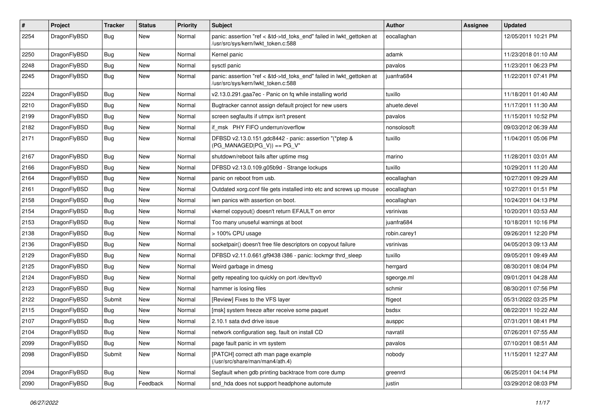| #    | Project      | <b>Tracker</b> | <b>Status</b> | <b>Priority</b> | Subject                                                                                                    | <b>Author</b> | Assignee | <b>Updated</b>      |
|------|--------------|----------------|---------------|-----------------|------------------------------------------------------------------------------------------------------------|---------------|----------|---------------------|
| 2254 | DragonFlyBSD | <b>Bug</b>     | New           | Normal          | panic: assertion "ref < &td->td_toks_end" failed in lwkt_gettoken at<br>/usr/src/sys/kern/lwkt_token.c:588 | eocallaghan   |          | 12/05/2011 10:21 PM |
| 2250 | DragonFlyBSD | Bug            | New           | Normal          | Kernel panic                                                                                               | adamk         |          | 11/23/2018 01:10 AM |
| 2248 | DragonFlyBSD | Bug            | <b>New</b>    | Normal          | sysctl panic                                                                                               | pavalos       |          | 11/23/2011 06:23 PM |
| 2245 | DragonFlyBSD | Bug            | New           | Normal          | panic: assertion "ref < &td->td_toks_end" failed in lwkt_gettoken at<br>/usr/src/sys/kern/lwkt token.c:588 | juanfra684    |          | 11/22/2011 07:41 PM |
| 2224 | DragonFlyBSD | Bug            | <b>New</b>    | Normal          | v2.13.0.291.gaa7ec - Panic on fq while installing world                                                    | tuxillo       |          | 11/18/2011 01:40 AM |
| 2210 | DragonFlyBSD | <b>Bug</b>     | New           | Normal          | Bugtracker cannot assign default project for new users                                                     | ahuete.devel  |          | 11/17/2011 11:30 AM |
| 2199 | DragonFlyBSD | <b>Bug</b>     | New           | Normal          | screen segfaults if utmpx isn't present                                                                    | pavalos       |          | 11/15/2011 10:52 PM |
| 2182 | DragonFlyBSD | Bug            | New           | Normal          | if msk PHY FIFO underrun/overflow                                                                          | nonsolosoft   |          | 09/03/2012 06:39 AM |
| 2171 | DragonFlyBSD | <b>Bug</b>     | New           | Normal          | DFBSD v2.13.0.151.gdc8442 - panic: assertion "(*ptep &<br>$(PG_MANAGED PG_V)) == PG_V"$                    | tuxillo       |          | 11/04/2011 05:06 PM |
| 2167 | DragonFlyBSD | Bug            | <b>New</b>    | Normal          | shutdown/reboot fails after uptime msg                                                                     | marino        |          | 11/28/2011 03:01 AM |
| 2166 | DragonFlyBSD | <b>Bug</b>     | <b>New</b>    | Normal          | DFBSD v2.13.0.109.g05b9d - Strange lockups                                                                 | tuxillo       |          | 10/29/2011 11:20 AM |
| 2164 | DragonFlyBSD | <b>Bug</b>     | New           | Normal          | panic on reboot from usb.                                                                                  | eocallaghan   |          | 10/27/2011 09:29 AM |
| 2161 | DragonFlyBSD | Bug            | <b>New</b>    | Normal          | Outdated xorg.conf file gets installed into etc and screws up mouse                                        | eocallaghan   |          | 10/27/2011 01:51 PM |
| 2158 | DragonFlyBSD | Bug            | New           | Normal          | iwn panics with assertion on boot.                                                                         | eocallaghan   |          | 10/24/2011 04:13 PM |
| 2154 | DragonFlyBSD | Bug            | New           | Normal          | vkernel copyout() doesn't return EFAULT on error                                                           | vsrinivas     |          | 10/20/2011 03:53 AM |
| 2153 | DragonFlyBSD | <b>Bug</b>     | New           | Normal          | Too many unuseful warnings at boot                                                                         | juanfra684    |          | 10/18/2011 10:16 PM |
| 2138 | DragonFlyBSD | <b>Bug</b>     | <b>New</b>    | Normal          | > 100% CPU usage                                                                                           | robin.carey1  |          | 09/26/2011 12:20 PM |
| 2136 | DragonFlyBSD | Bug            | <b>New</b>    | Normal          | socketpair() doesn't free file descriptors on copyout failure                                              | vsrinivas     |          | 04/05/2013 09:13 AM |
| 2129 | DragonFlyBSD | <b>Bug</b>     | New           | Normal          | DFBSD v2.11.0.661.gf9438 i386 - panic: lockmgr thrd_sleep                                                  | tuxillo       |          | 09/05/2011 09:49 AM |
| 2125 | DragonFlyBSD | Bug            | New           | Normal          | Weird garbage in dmesg                                                                                     | herrgard      |          | 08/30/2011 08:04 PM |
| 2124 | DragonFlyBSD | Bug            | New           | Normal          | getty repeating too quickly on port /dev/ttyv0                                                             | sgeorge.ml    |          | 09/01/2011 04:28 AM |
| 2123 | DragonFlyBSD | <b>Bug</b>     | <b>New</b>    | Normal          | hammer is losing files                                                                                     | schmir        |          | 08/30/2011 07:56 PM |
| 2122 | DragonFlyBSD | Submit         | New           | Normal          | [Review] Fixes to the VFS layer                                                                            | ftigeot       |          | 05/31/2022 03:25 PM |
| 2115 | DragonFlyBSD | <b>Bug</b>     | <b>New</b>    | Normal          | [msk] system freeze after receive some paquet                                                              | bsdsx         |          | 08/22/2011 10:22 AM |
| 2107 | DragonFlyBSD | Bug            | New           | Normal          | 2.10.1 sata dvd drive issue                                                                                | ausppc        |          | 07/31/2011 08:41 PM |
| 2104 | DragonFlyBSD | Bug            | <b>New</b>    | Normal          | network configuration seg. fault on install CD                                                             | navratil      |          | 07/26/2011 07:55 AM |
| 2099 | DragonFlyBSD | Bug            | New           | Normal          | page fault panic in vm system                                                                              | pavalos       |          | 07/10/2011 08:51 AM |
| 2098 | DragonFlyBSD | Submit         | New           | Normal          | [PATCH] correct ath man page example<br>(/usr/src/share/man/man4/ath.4)                                    | nobody        |          | 11/15/2011 12:27 AM |
| 2094 | DragonFlyBSD | <b>Bug</b>     | New           | Normal          | Segfault when gdb printing backtrace from core dump                                                        | greenrd       |          | 06/25/2011 04:14 PM |
| 2090 | DragonFlyBSD | <b>Bug</b>     | Feedback      | Normal          | snd_hda does not support headphone automute                                                                | justin        |          | 03/29/2012 08:03 PM |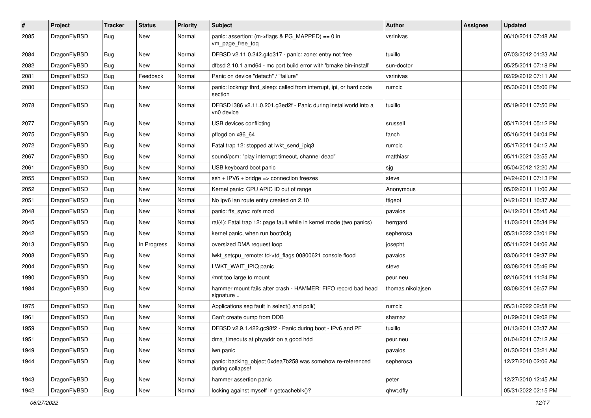| $\sharp$ | Project      | <b>Tracker</b> | <b>Status</b> | <b>Priority</b> | Subject                                                                        | <b>Author</b>     | Assignee | <b>Updated</b>      |
|----------|--------------|----------------|---------------|-----------------|--------------------------------------------------------------------------------|-------------------|----------|---------------------|
| 2085     | DragonFlyBSD | <b>Bug</b>     | <b>New</b>    | Normal          | panic: assertion: (m->flags & PG_MAPPED) == 0 in<br>vm_page_free_toq           | vsrinivas         |          | 06/10/2011 07:48 AM |
| 2084     | DragonFlyBSD | <b>Bug</b>     | New           | Normal          | DFBSD v2.11.0.242.g4d317 - panic: zone: entry not free                         | tuxillo           |          | 07/03/2012 01:23 AM |
| 2082     | DragonFlyBSD | <b>Bug</b>     | New           | Normal          | dfbsd 2.10.1 amd64 - mc port build error with 'bmake bin-install'              | sun-doctor        |          | 05/25/2011 07:18 PM |
| 2081     | DragonFlyBSD | Bug            | Feedback      | Normal          | Panic on device "detach" / "failure"                                           | vsrinivas         |          | 02/29/2012 07:11 AM |
| 2080     | DragonFlyBSD | <b>Bug</b>     | New           | Normal          | panic: lockmgr thrd_sleep: called from interrupt, ipi, or hard code<br>section | rumcic            |          | 05/30/2011 05:06 PM |
| 2078     | DragonFlyBSD | Bug            | <b>New</b>    | Normal          | DFBSD i386 v2.11.0.201.g3ed2f - Panic during installworld into a<br>vn0 device | tuxillo           |          | 05/19/2011 07:50 PM |
| 2077     | DragonFlyBSD | Bug            | <b>New</b>    | Normal          | USB devices conflicting                                                        | srussell          |          | 05/17/2011 05:12 PM |
| 2075     | DragonFlyBSD | Bug            | <b>New</b>    | Normal          | pflogd on x86_64                                                               | fanch             |          | 05/16/2011 04:04 PM |
| 2072     | DragonFlyBSD | <b>Bug</b>     | New           | Normal          | Fatal trap 12: stopped at lwkt_send_ipiq3                                      | rumcic            |          | 05/17/2011 04:12 AM |
| 2067     | DragonFlyBSD | Bug            | <b>New</b>    | Normal          | sound/pcm: "play interrupt timeout, channel dead"                              | matthiasr         |          | 05/11/2021 03:55 AM |
| 2061     | DragonFlyBSD | Bug            | <b>New</b>    | Normal          | USB keyboard boot panic                                                        | sjg               |          | 05/04/2012 12:20 AM |
| 2055     | DragonFlyBSD | <b>Bug</b>     | <b>New</b>    | Normal          | $ssh + IPV6 + bridge \Rightarrow connection freezes$                           | steve             |          | 04/24/2011 07:13 PM |
| 2052     | DragonFlyBSD | <b>Bug</b>     | <b>New</b>    | Normal          | Kernel panic: CPU APIC ID out of range                                         | Anonymous         |          | 05/02/2011 11:06 AM |
| 2051     | DragonFlyBSD | <b>Bug</b>     | New           | Normal          | No ipv6 lan route entry created on 2.10                                        | ftigeot           |          | 04/21/2011 10:37 AM |
| 2048     | DragonFlyBSD | Bug            | New           | Normal          | panic: ffs_sync: rofs mod                                                      | pavalos           |          | 04/12/2011 05:45 AM |
| 2045     | DragonFlyBSD | <b>Bug</b>     | New           | Normal          | ral(4): Fatal trap 12: page fault while in kernel mode (two panics)            | herrgard          |          | 11/03/2011 05:34 PM |
| 2042     | DragonFlyBSD | <b>Bug</b>     | <b>New</b>    | Normal          | kernel panic, when run boot0cfg                                                | sepherosa         |          | 05/31/2022 03:01 PM |
| 2013     | DragonFlyBSD | Bug            | In Progress   | Normal          | oversized DMA request loop                                                     | josepht           |          | 05/11/2021 04:06 AM |
| 2008     | DragonFlyBSD | <b>Bug</b>     | <b>New</b>    | Normal          | lwkt_setcpu_remote: td->td_flags 00800621 console flood                        | pavalos           |          | 03/06/2011 09:37 PM |
| 2004     | DragonFlyBSD | Bug            | <b>New</b>    | Normal          | LWKT_WAIT_IPIQ panic                                                           | steve             |          | 03/08/2011 05:46 PM |
| 1990     | DragonFlyBSD | Bug            | <b>New</b>    | Normal          | /mnt too large to mount                                                        | peur.neu          |          | 02/16/2011 11:24 PM |
| 1984     | DragonFlyBSD | <b>Bug</b>     | New           | Normal          | hammer mount fails after crash - HAMMER: FIFO record bad head<br>signature     | thomas.nikolajsen |          | 03/08/2011 06:57 PM |
| 1975     | DragonFlyBSD | Bug            | <b>New</b>    | Normal          | Applications seg fault in select() and poll()                                  | rumcic            |          | 05/31/2022 02:58 PM |
| 1961     | DragonFlyBSD | <b>Bug</b>     | <b>New</b>    | Normal          | Can't create dump from DDB                                                     | shamaz            |          | 01/29/2011 09:02 PM |
| 1959     | DragonFlyBSD | <b>Bug</b>     | New           | Normal          | DFBSD v2.9.1.422.gc98f2 - Panic during boot - IPv6 and PF                      | tuxillo           |          | 01/13/2011 03:37 AM |
| 1951     | DragonFlyBSD | <b>Bug</b>     | New           | Normal          | dma_timeouts at phyaddr on a good hdd                                          | peur.neu          |          | 01/04/2011 07:12 AM |
| 1949     | DragonFlyBSD | <b>Bug</b>     | <b>New</b>    | Normal          | iwn panic                                                                      | pavalos           |          | 01/30/2011 03:21 AM |
| 1944     | DragonFlyBSD | <b>Bug</b>     | New           | Normal          | panic: backing_object 0xdea7b258 was somehow re-referenced<br>during collapse! | sepherosa         |          | 12/27/2010 02:06 AM |
| 1943     | DragonFlyBSD | <b>Bug</b>     | <b>New</b>    | Normal          | hammer assertion panic                                                         | peter             |          | 12/27/2010 12:45 AM |
| 1942     | DragonFlyBSD | <b>Bug</b>     | New           | Normal          | locking against myself in getcacheblk()?                                       | qhwt.dfly         |          | 05/31/2022 02:15 PM |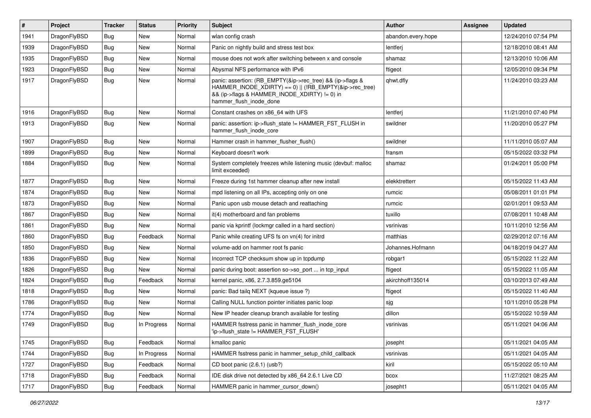| #    | Project      | <b>Tracker</b> | <b>Status</b> | <b>Priority</b> | <b>Subject</b>                                                                                                                                                                                    | <b>Author</b>      | Assignee | <b>Updated</b>      |
|------|--------------|----------------|---------------|-----------------|---------------------------------------------------------------------------------------------------------------------------------------------------------------------------------------------------|--------------------|----------|---------------------|
| 1941 | DragonFlyBSD | <b>Bug</b>     | <b>New</b>    | Normal          | wlan config crash                                                                                                                                                                                 | abandon.every.hope |          | 12/24/2010 07:54 PM |
| 1939 | DragonFlyBSD | <b>Bug</b>     | New           | Normal          | Panic on nightly build and stress test box                                                                                                                                                        | lentferj           |          | 12/18/2010 08:41 AM |
| 1935 | DragonFlyBSD | <b>Bug</b>     | New           | Normal          | mouse does not work after switching between x and console                                                                                                                                         | shamaz             |          | 12/13/2010 10:06 AM |
| 1923 | DragonFlyBSD | Bug            | New           | Normal          | Abysmal NFS performance with IPv6                                                                                                                                                                 | ftigeot            |          | 12/05/2010 09:34 PM |
| 1917 | DragonFlyBSD | Bug            | New           | Normal          | panic: assertion: (RB_EMPTY(&ip->rec_tree) && (ip->flags &<br>HAMMER_INODE_XDIRTY) == 0)    (!RB_EMPTY(&ip->rec_tree)<br>&& (ip->flags & HAMMER_INODE_XDIRTY) != 0) in<br>hammer_flush_inode_done | qhwt.dfly          |          | 11/24/2010 03:23 AM |
| 1916 | DragonFlyBSD | Bug            | New           | Normal          | Constant crashes on x86 64 with UFS                                                                                                                                                               | lentferj           |          | 11/21/2010 07:40 PM |
| 1913 | DragonFlyBSD | Bug            | New           | Normal          | panic: assertion: ip->flush_state != HAMMER_FST_FLUSH in<br>hammer_flush_inode_core                                                                                                               | swildner           |          | 11/20/2010 05:27 PM |
| 1907 | DragonFlyBSD | <b>Bug</b>     | New           | Normal          | Hammer crash in hammer_flusher_flush()                                                                                                                                                            | swildner           |          | 11/11/2010 05:07 AM |
| 1899 | DragonFlyBSD | <b>Bug</b>     | <b>New</b>    | Normal          | Keyboard doesn't work                                                                                                                                                                             | fransm             |          | 05/15/2022 03:32 PM |
| 1884 | DragonFlyBSD | <b>Bug</b>     | New           | Normal          | System completely freezes while listening music (devbuf: malloc<br>limit exceeded)                                                                                                                | shamaz             |          | 01/24/2011 05:00 PM |
| 1877 | DragonFlyBSD | <b>Bug</b>     | New           | Normal          | Freeze during 1st hammer cleanup after new install                                                                                                                                                | elekktretterr      |          | 05/15/2022 11:43 AM |
| 1874 | DragonFlyBSD | <b>Bug</b>     | New           | Normal          | mpd listening on all IPs, accepting only on one                                                                                                                                                   | rumcic             |          | 05/08/2011 01:01 PM |
| 1873 | DragonFlyBSD | <b>Bug</b>     | New           | Normal          | Panic upon usb mouse detach and reattaching                                                                                                                                                       | rumcic             |          | 02/01/2011 09:53 AM |
| 1867 | DragonFlyBSD | Bug            | New           | Normal          | it(4) motherboard and fan problems                                                                                                                                                                | tuxillo            |          | 07/08/2011 10:48 AM |
| 1861 | DragonFlyBSD | Bug            | New           | Normal          | panic via kprintf (lockmgr called in a hard section)                                                                                                                                              | vsrinivas          |          | 10/11/2010 12:56 AM |
| 1860 | DragonFlyBSD | <b>Bug</b>     | Feedback      | Normal          | Panic while creating UFS fs on vn(4) for initrd                                                                                                                                                   | matthias           |          | 02/29/2012 07:16 AM |
| 1850 | DragonFlyBSD | <b>Bug</b>     | New           | Normal          | volume-add on hammer root fs panic                                                                                                                                                                | Johannes.Hofmann   |          | 04/18/2019 04:27 AM |
| 1836 | DragonFlyBSD | <b>Bug</b>     | <b>New</b>    | Normal          | Incorrect TCP checksum show up in tcpdump                                                                                                                                                         | robgar1            |          | 05/15/2022 11:22 AM |
| 1826 | DragonFlyBSD | <b>Bug</b>     | New           | Normal          | panic during boot: assertion so->so port  in tcp input                                                                                                                                            | ftigeot            |          | 05/15/2022 11:05 AM |
| 1824 | DragonFlyBSD | <b>Bug</b>     | Feedback      | Normal          | kernel panic, x86, 2.7.3.859.ge5104                                                                                                                                                               | akirchhoff135014   |          | 03/10/2013 07:49 AM |
| 1818 | DragonFlyBSD | <b>Bug</b>     | New           | Normal          | panic: Bad tailg NEXT (kqueue issue ?)                                                                                                                                                            | ftigeot            |          | 05/15/2022 11:40 AM |
| 1786 | DragonFlyBSD | <b>Bug</b>     | New           | Normal          | Calling NULL function pointer initiates panic loop                                                                                                                                                | sjg                |          | 10/11/2010 05:28 PM |
| 1774 | DragonFlyBSD | Bug            | New           | Normal          | New IP header cleanup branch available for testing                                                                                                                                                | dillon             |          | 05/15/2022 10:59 AM |
| 1749 | DragonFlyBSD | <b>Bug</b>     | In Progress   | Normal          | HAMMER fsstress panic in hammer_flush_inode_core<br>'ip->flush state != HAMMER FST FLUSH'                                                                                                         | vsrinivas          |          | 05/11/2021 04:06 AM |
| 1745 | DragonFlyBSD | Bug            | Feedback      | Normal          | kmalloc panic                                                                                                                                                                                     | josepht            |          | 05/11/2021 04:05 AM |
| 1744 | DragonFlyBSD | <b>Bug</b>     | In Progress   | Normal          | HAMMER fsstress panic in hammer_setup_child_callback                                                                                                                                              | vsrinivas          |          | 05/11/2021 04:05 AM |
| 1727 | DragonFlyBSD | <b>Bug</b>     | Feedback      | Normal          | CD boot panic (2.6.1) (usb?)                                                                                                                                                                      | kiril              |          | 05/15/2022 05:10 AM |
| 1718 | DragonFlyBSD | <b>Bug</b>     | Feedback      | Normal          | IDE disk drive not detected by x86_64 2.6.1 Live CD                                                                                                                                               | bcox               |          | 11/27/2021 08:25 AM |
| 1717 | DragonFlyBSD | <b>Bug</b>     | Feedback      | Normal          | HAMMER panic in hammer cursor down()                                                                                                                                                              | josepht1           |          | 05/11/2021 04:05 AM |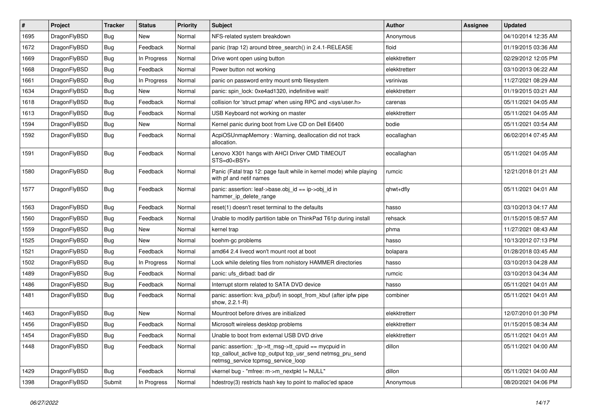| #    | Project      | <b>Tracker</b> | <b>Status</b> | <b>Priority</b> | Subject                                                                                                                                                   | Author        | Assignee | <b>Updated</b>      |
|------|--------------|----------------|---------------|-----------------|-----------------------------------------------------------------------------------------------------------------------------------------------------------|---------------|----------|---------------------|
| 1695 | DragonFlyBSD | <b>Bug</b>     | New           | Normal          | NFS-related system breakdown                                                                                                                              | Anonymous     |          | 04/10/2014 12:35 AM |
| 1672 | DragonFlyBSD | Bug            | Feedback      | Normal          | panic (trap 12) around btree_search() in 2.4.1-RELEASE                                                                                                    | floid         |          | 01/19/2015 03:36 AM |
| 1669 | DragonFlyBSD | <b>Bug</b>     | In Progress   | Normal          | Drive wont open using button                                                                                                                              | elekktretterr |          | 02/29/2012 12:05 PM |
| 1668 | DragonFlyBSD | <b>Bug</b>     | Feedback      | Normal          | Power button not working                                                                                                                                  | elekktretterr |          | 03/10/2013 06:22 AM |
| 1661 | DragonFlyBSD | <b>Bug</b>     | In Progress   | Normal          | panic on password entry mount smb filesystem                                                                                                              | vsrinivas     |          | 11/27/2021 08:29 AM |
| 1634 | DragonFlyBSD | Bug            | New           | Normal          | panic: spin lock: 0xe4ad1320, indefinitive wait!                                                                                                          | elekktretterr |          | 01/19/2015 03:21 AM |
| 1618 | DragonFlyBSD | <b>Bug</b>     | Feedback      | Normal          | collision for 'struct pmap' when using RPC and <sys user.h=""></sys>                                                                                      | carenas       |          | 05/11/2021 04:05 AM |
| 1613 | DragonFlyBSD | <b>Bug</b>     | Feedback      | Normal          | USB Keyboard not working on master                                                                                                                        | elekktretterr |          | 05/11/2021 04:05 AM |
| 1594 | DragonFlyBSD | <b>Bug</b>     | New           | Normal          | Kernel panic during boot from Live CD on Dell E6400                                                                                                       | bodie         |          | 05/11/2021 03:54 AM |
| 1592 | DragonFlyBSD | Bug            | Feedback      | Normal          | AcpiOSUnmapMemory: Warning, deallocation did not track<br>allocation.                                                                                     | eocallaghan   |          | 06/02/2014 07:45 AM |
| 1591 | DragonFlyBSD | Bug            | Feedback      | Normal          | Lenovo X301 hangs with AHCI Driver CMD TIMEOUT<br>STS=d0 <bsy></bsy>                                                                                      | eocallaghan   |          | 05/11/2021 04:05 AM |
| 1580 | DragonFlyBSD | Bug            | Feedback      | Normal          | Panic (Fatal trap 12: page fault while in kernel mode) while playing<br>with pf and netif names                                                           | rumcic        |          | 12/21/2018 01:21 AM |
| 1577 | DragonFlyBSD | Bug            | Feedback      | Normal          | panic: assertion: leaf->base.obj_id == ip->obj_id in<br>hammer_ip_delete_range                                                                            | qhwt+dfly     |          | 05/11/2021 04:01 AM |
| 1563 | DragonFlyBSD | Bug            | Feedback      | Normal          | reset(1) doesn't reset terminal to the defaults                                                                                                           | hasso         |          | 03/10/2013 04:17 AM |
| 1560 | DragonFlyBSD | <b>Bug</b>     | Feedback      | Normal          | Unable to modify partition table on ThinkPad T61p during install                                                                                          | rehsack       |          | 01/15/2015 08:57 AM |
| 1559 | DragonFlyBSD | <b>Bug</b>     | New           | Normal          | kernel trap                                                                                                                                               | phma          |          | 11/27/2021 08:43 AM |
| 1525 | DragonFlyBSD | <b>Bug</b>     | New           | Normal          | boehm-gc problems                                                                                                                                         | hasso         |          | 10/13/2012 07:13 PM |
| 1521 | DragonFlyBSD | <b>Bug</b>     | Feedback      | Normal          | amd64 2.4 livecd won't mount root at boot                                                                                                                 | bolapara      |          | 01/28/2018 03:45 AM |
| 1502 | DragonFlyBSD | <b>Bug</b>     | In Progress   | Normal          | Lock while deleting files from nohistory HAMMER directories                                                                                               | hasso         |          | 03/10/2013 04:28 AM |
| 1489 | DragonFlyBSD | <b>Bug</b>     | Feedback      | Normal          | panic: ufs_dirbad: bad dir                                                                                                                                | rumcic        |          | 03/10/2013 04:34 AM |
| 1486 | DragonFlyBSD | <b>Bug</b>     | Feedback      | Normal          | Interrupt storm related to SATA DVD device                                                                                                                | hasso         |          | 05/11/2021 04:01 AM |
| 1481 | DragonFlyBSD | Bug            | Feedback      | Normal          | panic: assertion: kva_p(buf) in soopt_from_kbuf (after ipfw pipe<br>show, 2.2.1-R)                                                                        | combiner      |          | 05/11/2021 04:01 AM |
| 1463 | DragonFlyBSD | Bug            | New           | Normal          | Mountroot before drives are initialized                                                                                                                   | elekktretterr |          | 12/07/2010 01:30 PM |
| 1456 | DragonFlyBSD | <b>Bug</b>     | Feedback      | Normal          | Microsoft wireless desktop problems                                                                                                                       | elekktretterr |          | 01/15/2015 08:34 AM |
| 1454 | DragonFlyBSD | <b>Bug</b>     | Feedback      | Normal          | Unable to boot from external USB DVD drive                                                                                                                | elekktretterr |          | 05/11/2021 04:01 AM |
| 1448 | DragonFlyBSD | <b>Bug</b>     | Feedback      | Normal          | panic: assertion: _tp->tt_msg->tt_cpuid == mycpuid in<br>tcp_callout_active tcp_output tcp_usr_send netmsg_pru_send<br>netmsg_service tcpmsg_service_loop | dillon        |          | 05/11/2021 04:00 AM |
| 1429 | DragonFlyBSD | <b>Bug</b>     | Feedback      | Normal          | vkernel bug - "mfree: m->m_nextpkt != NULL"                                                                                                               | dillon        |          | 05/11/2021 04:00 AM |
| 1398 | DragonFlyBSD | Submit         | In Progress   | Normal          | hdestroy(3) restricts hash key to point to malloc'ed space                                                                                                | Anonymous     |          | 08/20/2021 04:06 PM |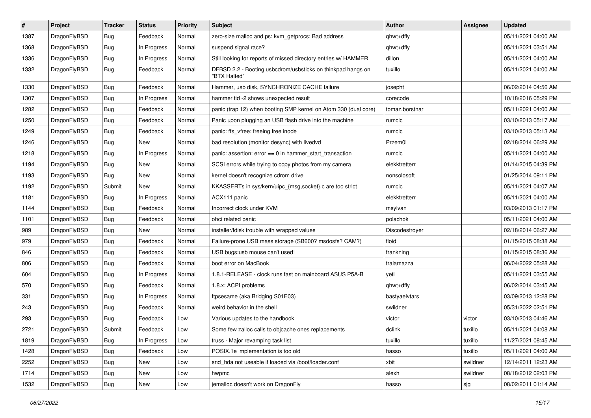| $\vert$ # | Project      | <b>Tracker</b> | <b>Status</b> | <b>Priority</b> | <b>Subject</b>                                                              | <b>Author</b>  | Assignee | <b>Updated</b>      |
|-----------|--------------|----------------|---------------|-----------------|-----------------------------------------------------------------------------|----------------|----------|---------------------|
| 1387      | DragonFlyBSD | <b>Bug</b>     | Feedback      | Normal          | zero-size malloc and ps: kvm_getprocs: Bad address                          | qhwt+dfly      |          | 05/11/2021 04:00 AM |
| 1368      | DragonFlyBSD | <b>Bug</b>     | In Progress   | Normal          | suspend signal race?                                                        | qhwt+dfly      |          | 05/11/2021 03:51 AM |
| 1336      | DragonFlyBSD | <b>Bug</b>     | In Progress   | Normal          | Still looking for reports of missed directory entries w/ HAMMER             | dillon         |          | 05/11/2021 04:00 AM |
| 1332      | DragonFlyBSD | <b>Bug</b>     | Feedback      | Normal          | DFBSD 2.2 - Booting usbcdrom/usbsticks on thinkpad hangs on<br>"BTX Halted" | tuxillo        |          | 05/11/2021 04:00 AM |
| 1330      | DragonFlyBSD | Bug            | Feedback      | Normal          | Hammer, usb disk, SYNCHRONIZE CACHE failure                                 | josepht        |          | 06/02/2014 04:56 AM |
| 1307      | DragonFlyBSD | Bug            | In Progress   | Normal          | hammer tid -2 shows unexpected result                                       | corecode       |          | 10/18/2016 05:29 PM |
| 1282      | DragonFlyBSD | <b>Bug</b>     | Feedback      | Normal          | panic (trap 12) when booting SMP kernel on Atom 330 (dual core)             | tomaz.borstnar |          | 05/11/2021 04:00 AM |
| 1250      | DragonFlyBSD | Bug            | Feedback      | Normal          | Panic upon plugging an USB flash drive into the machine                     | rumcic         |          | 03/10/2013 05:17 AM |
| 1249      | DragonFlyBSD | Bug            | Feedback      | Normal          | panic: ffs_vfree: freeing free inode                                        | rumcic         |          | 03/10/2013 05:13 AM |
| 1246      | DragonFlyBSD | <b>Bug</b>     | New           | Normal          | bad resolution (monitor desync) with livedvd                                | Przem0l        |          | 02/18/2014 06:29 AM |
| 1218      | DragonFlyBSD | Bug            | In Progress   | Normal          | panic: assertion: error == 0 in hammer_start_transaction                    | rumcic         |          | 05/11/2021 04:00 AM |
| 1194      | DragonFlyBSD | <b>Bug</b>     | New           | Normal          | SCSI errors while trying to copy photos from my camera                      | elekktretterr  |          | 01/14/2015 04:39 PM |
| 1193      | DragonFlyBSD | Bug            | <b>New</b>    | Normal          | kernel doesn't recognize cdrom drive                                        | nonsolosoft    |          | 01/25/2014 09:11 PM |
| 1192      | DragonFlyBSD | Submit         | <b>New</b>    | Normal          | KKASSERTs in sys/kern/uipc_{msg,socket}.c are too strict                    | rumcic         |          | 05/11/2021 04:07 AM |
| 1181      | DragonFlyBSD | <b>Bug</b>     | In Progress   | Normal          | ACX111 panic                                                                | elekktretterr  |          | 05/11/2021 04:00 AM |
| 1144      | DragonFlyBSD | Bug            | Feedback      | Normal          | Incorrect clock under KVM                                                   | msylvan        |          | 03/09/2013 01:17 PM |
| 1101      | DragonFlyBSD | <b>Bug</b>     | Feedback      | Normal          | ohci related panic                                                          | polachok       |          | 05/11/2021 04:00 AM |
| 989       | DragonFlyBSD | <b>Bug</b>     | New           | Normal          | installer/fdisk trouble with wrapped values                                 | Discodestroyer |          | 02/18/2014 06:27 AM |
| 979       | DragonFlyBSD | <b>Bug</b>     | Feedback      | Normal          | Failure-prone USB mass storage (SB600? msdosfs? CAM?)                       | floid          |          | 01/15/2015 08:38 AM |
| 846       | DragonFlyBSD | <b>Bug</b>     | Feedback      | Normal          | USB bugs:usb mouse can't used!                                              | frankning      |          | 01/15/2015 08:36 AM |
| 806       | DragonFlyBSD | <b>Bug</b>     | Feedback      | Normal          | boot error on MacBook                                                       | tralamazza     |          | 06/04/2022 05:28 AM |
| 604       | DragonFlyBSD | <b>Bug</b>     | In Progress   | Normal          | 1.8.1-RELEASE - clock runs fast on mainboard ASUS P5A-B                     | yeti           |          | 05/11/2021 03:55 AM |
| 570       | DragonFlyBSD | <b>Bug</b>     | Feedback      | Normal          | 1.8.x: ACPI problems                                                        | qhwt+dfly      |          | 06/02/2014 03:45 AM |
| 331       | DragonFlyBSD | Bug            | In Progress   | Normal          | ftpsesame (aka Bridging S01E03)                                             | bastyaelvtars  |          | 03/09/2013 12:28 PM |
| 243       | DragonFlyBSD | Bug            | Feedback      | Normal          | weird behavior in the shell                                                 | swildner       |          | 05/31/2022 02:51 PM |
| 293       | DragonFlyBSD | <b>Bug</b>     | Feedback      | Low             | Various updates to the handbook                                             | victor         | victor   | 03/10/2013 04:46 AM |
| 2721      | DragonFlyBSD | Submit         | Feedback      | Low             | Some few zalloc calls to objcache ones replacements                         | dclink         | tuxillo  | 05/11/2021 04:08 AM |
| 1819      | DragonFlyBSD | Bug            | In Progress   | Low             | truss - Major revamping task list                                           | tuxillo        | tuxillo  | 11/27/2021 08:45 AM |
| 1428      | DragonFlyBSD | <b>Bug</b>     | Feedback      | Low             | POSIX.1e implementation is too old                                          | hasso          | tuxillo  | 05/11/2021 04:00 AM |
| 2252      | DragonFlyBSD | <b>Bug</b>     | New           | Low             | snd_hda not useable if loaded via /boot/loader.conf                         | xbit           | swildner | 12/14/2011 12:23 AM |
| 1714      | DragonFlyBSD | <b>Bug</b>     | New           | Low             | hwpmc                                                                       | alexh          | swildner | 08/18/2012 02:03 PM |
| 1532      | DragonFlyBSD | <b>Bug</b>     | New           | Low             | jemalloc doesn't work on DragonFly                                          | hasso          | sjg      | 08/02/2011 01:14 AM |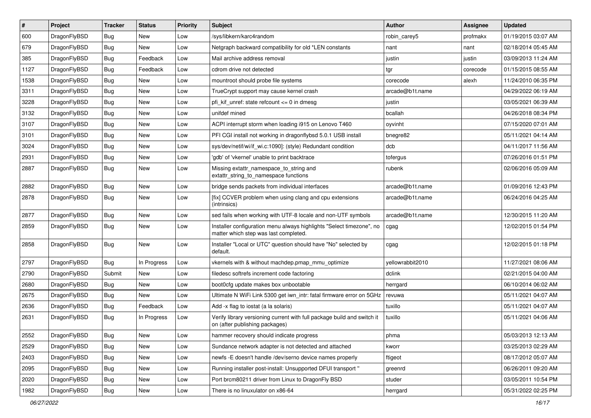| $\sharp$ | Project      | <b>Tracker</b> | <b>Status</b> | <b>Priority</b> | Subject                                                                                                       | <b>Author</b>    | <b>Assignee</b> | <b>Updated</b>      |
|----------|--------------|----------------|---------------|-----------------|---------------------------------------------------------------------------------------------------------------|------------------|-----------------|---------------------|
| 600      | DragonFlyBSD | Bug            | New           | Low             | /sys/libkern/karc4random                                                                                      | robin carey5     | profmakx        | 01/19/2015 03:07 AM |
| 679      | DragonFlyBSD | Bug            | <b>New</b>    | Low             | Netgraph backward compatibility for old *LEN constants                                                        | nant             | nant            | 02/18/2014 05:45 AM |
| 385      | DragonFlyBSD | <b>Bug</b>     | Feedback      | Low             | Mail archive address removal                                                                                  | justin           | justin          | 03/09/2013 11:24 AM |
| 1127     | DragonFlyBSD | <b>Bug</b>     | Feedback      | Low             | cdrom drive not detected                                                                                      | tgr              | corecode        | 01/15/2015 08:55 AM |
| 1538     | DragonFlyBSD | <b>Bug</b>     | New           | Low             | mountroot should probe file systems                                                                           | corecode         | alexh           | 11/24/2010 06:35 PM |
| 3311     | DragonFlyBSD | <b>Bug</b>     | New           | Low             | TrueCrypt support may cause kernel crash                                                                      | arcade@b1t.name  |                 | 04/29/2022 06:19 AM |
| 3228     | DragonFlyBSD | <b>Bug</b>     | New           | Low             | pfi kif unref: state refcount $\leq$ 0 in dmesg                                                               | justin           |                 | 03/05/2021 06:39 AM |
| 3132     | DragonFlyBSD | <b>Bug</b>     | <b>New</b>    | Low             | unifdef mined                                                                                                 | bcallah          |                 | 04/26/2018 08:34 PM |
| 3107     | DragonFlyBSD | <b>Bug</b>     | New           | Low             | ACPI interrupt storm when loading i915 on Lenovo T460                                                         | oyvinht          |                 | 07/15/2020 07:01 AM |
| 3101     | DragonFlyBSD | <b>Bug</b>     | <b>New</b>    | Low             | PFI CGI install not working in dragonflybsd 5.0.1 USB install                                                 | bnegre82         |                 | 05/11/2021 04:14 AM |
| 3024     | DragonFlyBSD | <b>Bug</b>     | New           | Low             | sys/dev/netif/wi/if_wi.c:1090]: (style) Redundant condition                                                   | dcb              |                 | 04/11/2017 11:56 AM |
| 2931     | DragonFlyBSD | <b>Bug</b>     | <b>New</b>    | Low             | 'gdb' of 'vkernel' unable to print backtrace                                                                  | tofergus         |                 | 07/26/2016 01:51 PM |
| 2887     | DragonFlyBSD | <b>Bug</b>     | <b>New</b>    | Low             | Missing extattr_namespace_to_string and<br>extattr_string_to_namespace functions                              | rubenk           |                 | 02/06/2016 05:09 AM |
| 2882     | DragonFlyBSD | <b>Bug</b>     | <b>New</b>    | Low             | bridge sends packets from individual interfaces                                                               | arcade@b1t.name  |                 | 01/09/2016 12:43 PM |
| 2878     | DragonFlyBSD | <b>Bug</b>     | <b>New</b>    | Low             | [fix] CCVER problem when using clang and cpu extensions<br>(intrinsics)                                       | arcade@b1t.name  |                 | 06/24/2016 04:25 AM |
| 2877     | DragonFlyBSD | <b>Bug</b>     | New           | Low             | sed fails when working with UTF-8 locale and non-UTF symbols                                                  | arcade@b1t.name  |                 | 12/30/2015 11:20 AM |
| 2859     | DragonFlyBSD | <b>Bug</b>     | New           | Low             | Installer configuration menu always highlights "Select timezone", no<br>matter which step was last completed. | cgag             |                 | 12/02/2015 01:54 PM |
| 2858     | DragonFlyBSD | <b>Bug</b>     | New           | Low             | Installer "Local or UTC" question should have "No" selected by<br>default.                                    | cgag             |                 | 12/02/2015 01:18 PM |
| 2797     | DragonFlyBSD | <b>Bug</b>     | In Progress   | Low             | vkernels with & without machdep.pmap_mmu_optimize                                                             | yellowrabbit2010 |                 | 11/27/2021 08:06 AM |
| 2790     | DragonFlyBSD | Submit         | <b>New</b>    | Low             | filedesc softrefs increment code factoring                                                                    | dclink           |                 | 02/21/2015 04:00 AM |
| 2680     | DragonFlyBSD | <b>Bug</b>     | New           | Low             | boot0cfg update makes box unbootable                                                                          | herrgard         |                 | 06/10/2014 06:02 AM |
| 2675     | DragonFlyBSD | Bug            | New           | Low             | Ultimate N WiFi Link 5300 get iwn_intr: fatal firmware error on 5GHz                                          | revuwa           |                 | 05/11/2021 04:07 AM |
| 2636     | DragonFlyBSD | <b>Bug</b>     | Feedback      | Low             | Add -x flag to iostat (a la solaris)                                                                          | tuxillo          |                 | 05/11/2021 04:07 AM |
| 2631     | DragonFlyBSD | <b>Bug</b>     | In Progress   | Low             | Verify library versioning current with full package build and switch it<br>on (after publishing packages)     | tuxillo          |                 | 05/11/2021 04:06 AM |
| 2552     | DragonFlyBSD | <b>Bug</b>     | New           | Low             | hammer recovery should indicate progress                                                                      | phma             |                 | 05/03/2013 12:13 AM |
| 2529     | DragonFlyBSD | <b>Bug</b>     | New           | Low             | Sundance network adapter is not detected and attached                                                         | kworr            |                 | 03/25/2013 02:29 AM |
| 2403     | DragonFlyBSD | <b>Bug</b>     | New           | Low             | newfs -E doesn't handle /dev/serno device names properly                                                      | ftigeot          |                 | 08/17/2012 05:07 AM |
| 2095     | DragonFlyBSD | <b>Bug</b>     | New           | Low             | Running installer post-install: Unsupported DFUI transport "                                                  | greenrd          |                 | 06/26/2011 09:20 AM |
| 2020     | DragonFlyBSD | <b>Bug</b>     | New           | Low             | Port brcm80211 driver from Linux to DragonFly BSD                                                             | studer           |                 | 03/05/2011 10:54 PM |
| 1982     | DragonFlyBSD | <b>Bug</b>     | New           | Low             | There is no linuxulator on x86-64                                                                             | herrgard         |                 | 05/31/2022 02:25 PM |